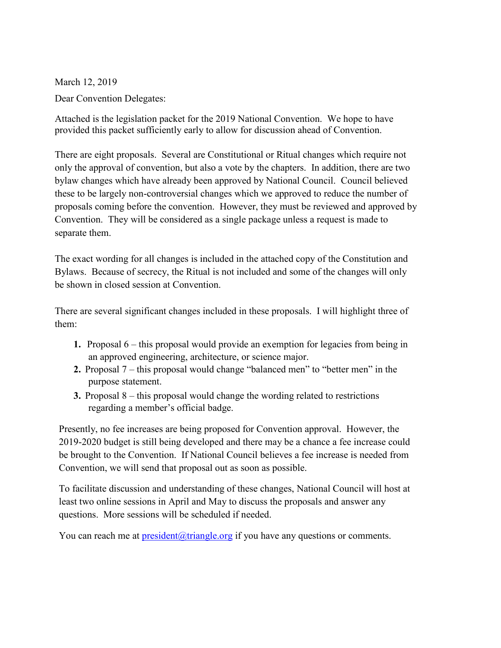March 12, 2019 Dear Convention Delegates:

Attached is the legislation packet for the 2019 National Convention. We hope to have provided this packet sufficiently early to allow for discussion ahead of Convention.

There are eight proposals. Several are Constitutional or Ritual changes which require not only the approval of convention, but also a vote by the chapters. In addition, there are two bylaw changes which have already been approved by National Council. Council believed these to be largely non-controversial changes which we approved to reduce the number of proposals coming before the convention. However, they must be reviewed and approved by Convention. They will be considered as a single package unless a request is made to separate them.

The exact wording for all changes is included in the attached copy of the Constitution and Bylaws. Because of secrecy, the Ritual is not included and some of the changes will only be shown in closed session at Convention.

There are several significant changes included in these proposals. I will highlight three of them:

- **1.** Proposal 6 this proposal would provide an exemption for legacies from being in an approved engineering, architecture, or science major.
- **2.** Proposal 7 this proposal would change "balanced men" to "better men" in the purpose statement.
- **3.** Proposal 8 this proposal would change the wording related to restrictions regarding a member's official badge.

Presently, no fee increases are being proposed for Convention approval. However, the 2019-2020 budget is still being developed and there may be a chance a fee increase could be brought to the Convention. If National Council believes a fee increase is needed from Convention, we will send that proposal out as soon as possible.

To facilitate discussion and understanding of these changes, National Council will host at least two online sessions in April and May to discuss the proposals and answer any questions. More sessions will be scheduled if needed.

You can reach me at  $president@triangle.org$  if you have any questions or comments.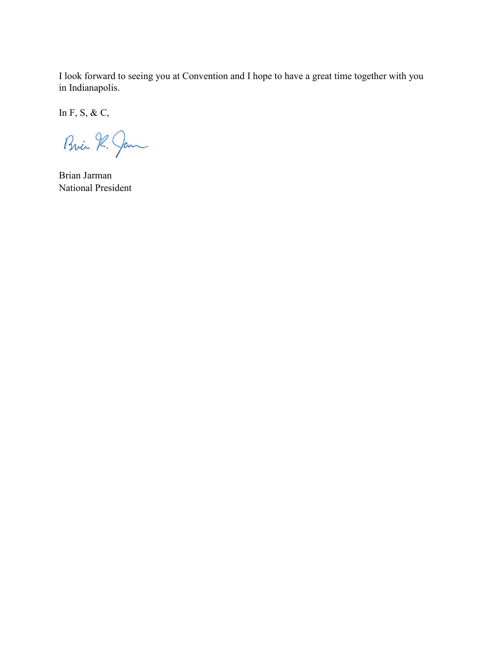I look forward to seeing you at Convention and I hope to have a great time together with you in Indianapolis.

In F, S, & C,

Bria R. Jan

Brian Jarman National President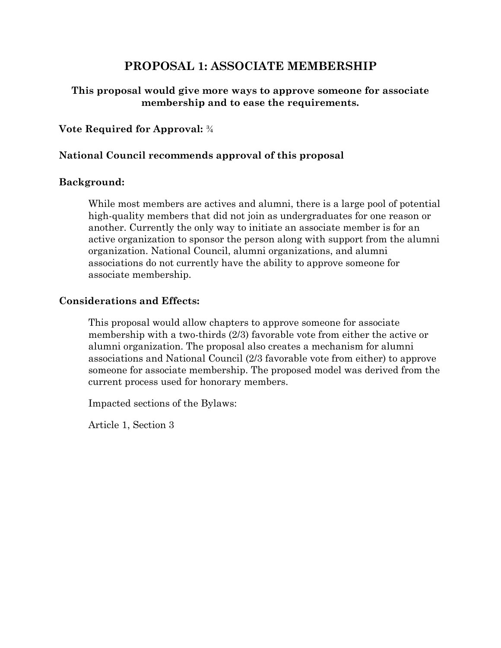# **PROPOSAL 1: ASSOCIATE MEMBERSHIP**

# **This proposal would give more ways to approve someone for associate membership and to ease the requirements.**

# **Vote Required for Approval:** ¾

# **National Council recommends approval of this proposal**

### **Background:**

While most members are actives and alumni, there is a large pool of potential high-quality members that did not join as undergraduates for one reason or another. Currently the only way to initiate an associate member is for an active organization to sponsor the person along with support from the alumni organization. National Council, alumni organizations, and alumni associations do not currently have the ability to approve someone for associate membership.

## **Considerations and Effects:**

This proposal would allow chapters to approve someone for associate membership with a two-thirds (2/3) favorable vote from either the active or alumni organization. The proposal also creates a mechanism for alumni associations and National Council (2/3 favorable vote from either) to approve someone for associate membership. The proposed model was derived from the current process used for honorary members.

Impacted sections of the Bylaws:

Article 1, Section 3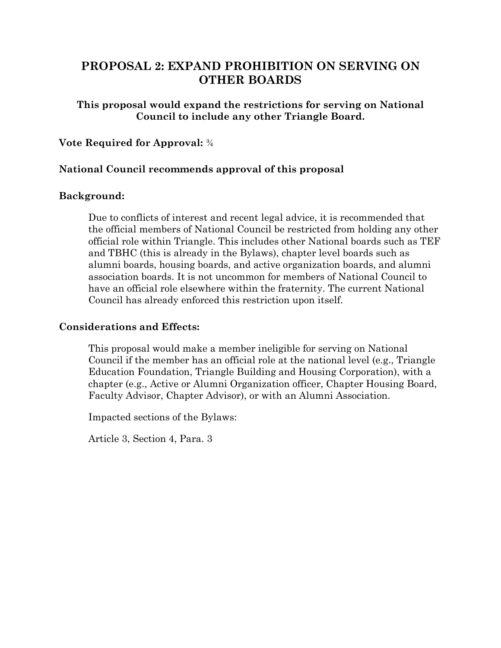# **PROPOSAL 2: EXPAND PROHIBITION ON SERVING ON OTHER BOARDS**

# **This proposal would expand the restrictions for serving on National Council to include any other Triangle Board.**

## **Vote Required for Approval:** ¾

## **National Council recommends approval of this proposal**

### **Background:**

Due to conflicts of interest and recent legal advice, it is recommended that the official members of National Council be restricted from holding any other official role within Triangle. This includes other National boards such as TEF and TBHC (this is already in the Bylaws), chapter level boards such as alumni boards, housing boards, and active organization boards, and alumni association boards. It is not uncommon for members of National Council to have an official role elsewhere within the fraternity. The current National Council has already enforced this restriction upon itself.

### **Considerations and Effects:**

This proposal would make a member ineligible for serving on National Council if the member has an official role at the national level (e.g., Triangle Education Foundation, Triangle Building and Housing Corporation), with a chapter (e.g., Active or Alumni Organization officer, Chapter Housing Board, Faculty Advisor, Chapter Advisor), or with an Alumni Association.

Impacted sections of the Bylaws:

Article 3, Section 4, Para. 3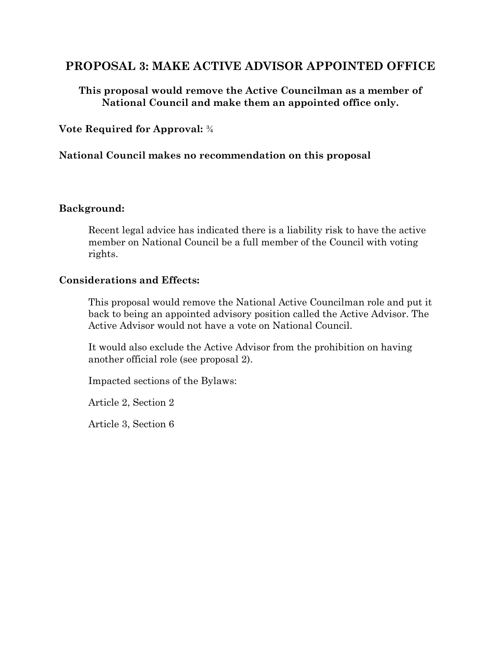# **PROPOSAL 3: MAKE ACTIVE ADVISOR APPOINTED OFFICE**

**This proposal would remove the Active Councilman as a member of National Council and make them an appointed office only.**

**Vote Required for Approval:** ¾

# **National Council makes no recommendation on this proposal**

### **Background:**

Recent legal advice has indicated there is a liability risk to have the active member on National Council be a full member of the Council with voting rights.

### **Considerations and Effects:**

This proposal would remove the National Active Councilman role and put it back to being an appointed advisory position called the Active Advisor. The Active Advisor would not have a vote on National Council.

It would also exclude the Active Advisor from the prohibition on having another official role (see proposal 2).

Impacted sections of the Bylaws:

Article 2, Section 2

Article 3, Section 6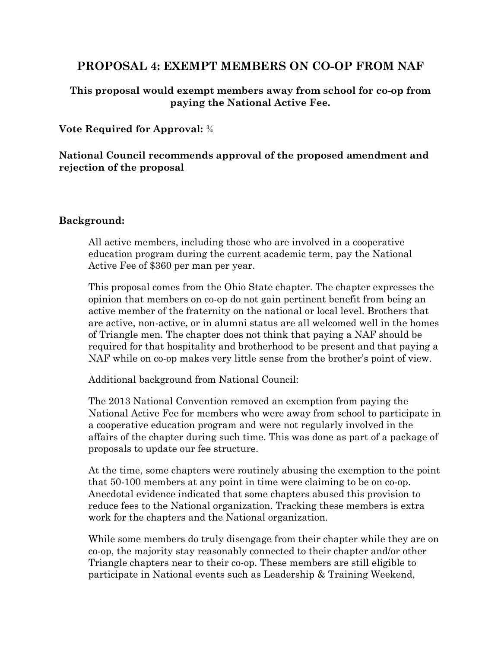# **PROPOSAL 4: EXEMPT MEMBERS ON CO-OP FROM NAF**

# **This proposal would exempt members away from school for co-op from paying the National Active Fee.**

# **Vote Required for Approval:** ¾

# **National Council recommends approval of the proposed amendment and rejection of the proposal**

## **Background:**

All active members, including those who are involved in a cooperative education program during the current academic term, pay the National Active Fee of \$360 per man per year.

This proposal comes from the Ohio State chapter. The chapter expresses the opinion that members on co-op do not gain pertinent benefit from being an active member of the fraternity on the national or local level. Brothers that are active, non-active, or in alumni status are all welcomed well in the homes of Triangle men. The chapter does not think that paying a NAF should be required for that hospitality and brotherhood to be present and that paying a NAF while on co-op makes very little sense from the brother's point of view.

Additional background from National Council:

The 2013 National Convention removed an exemption from paying the National Active Fee for members who were away from school to participate in a cooperative education program and were not regularly involved in the affairs of the chapter during such time. This was done as part of a package of proposals to update our fee structure.

At the time, some chapters were routinely abusing the exemption to the point that 50-100 members at any point in time were claiming to be on co-op. Anecdotal evidence indicated that some chapters abused this provision to reduce fees to the National organization. Tracking these members is extra work for the chapters and the National organization.

While some members do truly disengage from their chapter while they are on co-op, the majority stay reasonably connected to their chapter and/or other Triangle chapters near to their co-op. These members are still eligible to participate in National events such as Leadership & Training Weekend,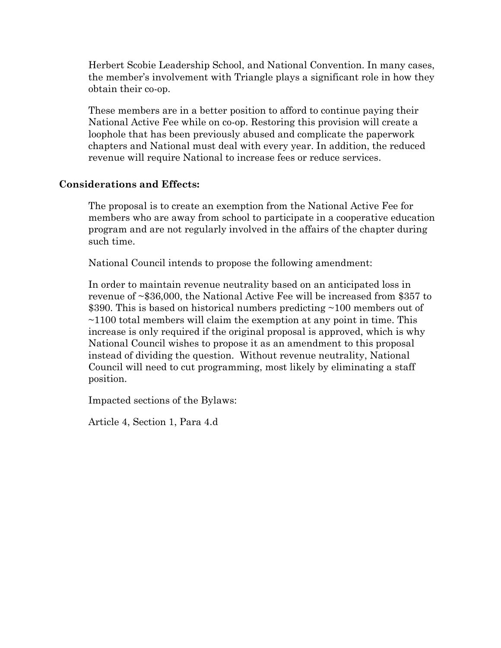Herbert Scobie Leadership School, and National Convention. In many cases, the member's involvement with Triangle plays a significant role in how they obtain their co-op.

These members are in a better position to afford to continue paying their National Active Fee while on co-op. Restoring this provision will create a loophole that has been previously abused and complicate the paperwork chapters and National must deal with every year. In addition, the reduced revenue will require National to increase fees or reduce services.

## **Considerations and Effects:**

The proposal is to create an exemption from the National Active Fee for members who are away from school to participate in a cooperative education program and are not regularly involved in the affairs of the chapter during such time.

National Council intends to propose the following amendment:

In order to maintain revenue neutrality based on an anticipated loss in revenue of ~\$36,000, the National Active Fee will be increased from \$357 to \$390. This is based on historical numbers predicting ~100 members out of  $\sim$ 1100 total members will claim the exemption at any point in time. This increase is only required if the original proposal is approved, which is why National Council wishes to propose it as an amendment to this proposal instead of dividing the question. Without revenue neutrality, National Council will need to cut programming, most likely by eliminating a staff position.

Impacted sections of the Bylaws:

Article 4, Section 1, Para 4.d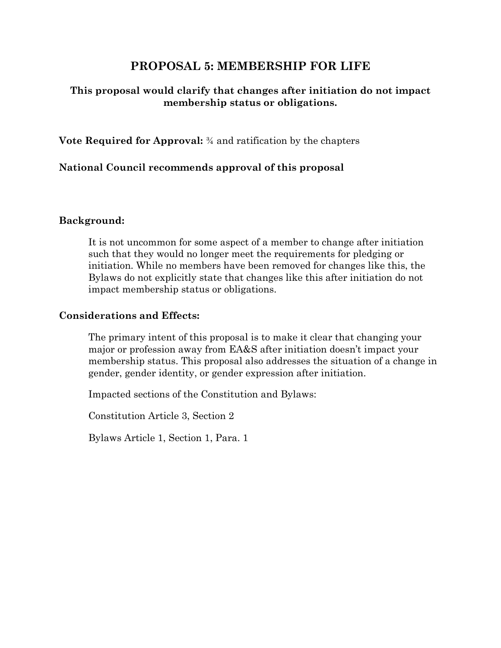# **PROPOSAL 5: MEMBERSHIP FOR LIFE**

# **This proposal would clarify that changes after initiation do not impact membership status or obligations.**

**Vote Required for Approval:** ¾ and ratification by the chapters

## **National Council recommends approval of this proposal**

### **Background:**

It is not uncommon for some aspect of a member to change after initiation such that they would no longer meet the requirements for pledging or initiation. While no members have been removed for changes like this, the Bylaws do not explicitly state that changes like this after initiation do not impact membership status or obligations.

### **Considerations and Effects:**

The primary intent of this proposal is to make it clear that changing your major or profession away from EA&S after initiation doesn't impact your membership status. This proposal also addresses the situation of a change in gender, gender identity, or gender expression after initiation.

Impacted sections of the Constitution and Bylaws:

Constitution Article 3, Section 2

Bylaws Article 1, Section 1, Para. 1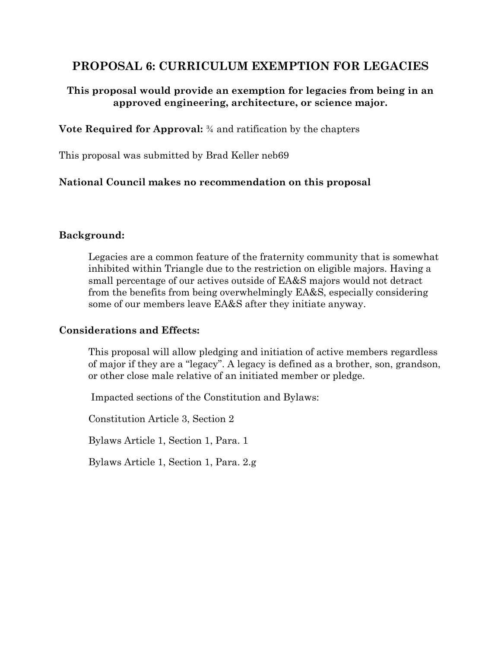# **PROPOSAL 6: CURRICULUM EXEMPTION FOR LEGACIES**

# **This proposal would provide an exemption for legacies from being in an approved engineering, architecture, or science major.**

**Vote Required for Approval:** ¾ and ratification by the chapters

This proposal was submitted by Brad Keller neb69

# **National Council makes no recommendation on this proposal**

## **Background:**

Legacies are a common feature of the fraternity community that is somewhat inhibited within Triangle due to the restriction on eligible majors. Having a small percentage of our actives outside of EA&S majors would not detract from the benefits from being overwhelmingly EA&S, especially considering some of our members leave EA&S after they initiate anyway.

## **Considerations and Effects:**

This proposal will allow pledging and initiation of active members regardless of major if they are a "legacy". A legacy is defined as a brother, son, grandson, or other close male relative of an initiated member or pledge.

Impacted sections of the Constitution and Bylaws:

Constitution Article 3, Section 2

Bylaws Article 1, Section 1, Para. 1

Bylaws Article 1, Section 1, Para. 2.g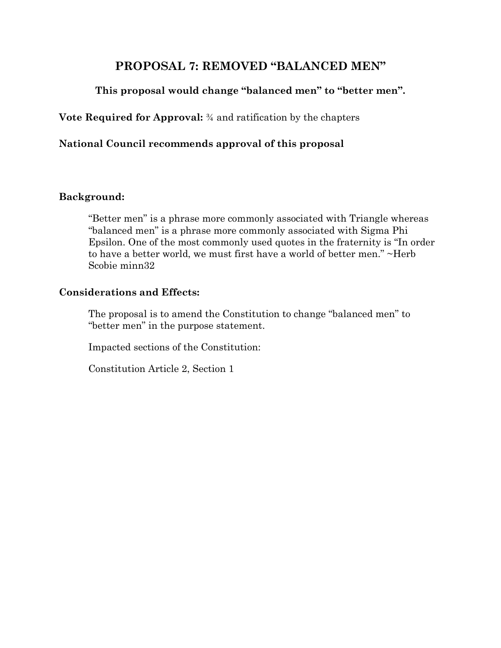# **PROPOSAL 7: REMOVED "BALANCED MEN"**

# **This proposal would change "balanced men" to "better men".**

**Vote Required for Approval:** ¾ and ratification by the chapters

# **National Council recommends approval of this proposal**

## **Background:**

"Better men" is a phrase more commonly associated with Triangle whereas "balanced men" is a phrase more commonly associated with Sigma Phi Epsilon. One of the most commonly used quotes in the fraternity is "In order to have a better world, we must first have a world of better men." ~Herb Scobie minn32

## **Considerations and Effects:**

The proposal is to amend the Constitution to change "balanced men" to "better men" in the purpose statement.

Impacted sections of the Constitution:

Constitution Article 2, Section 1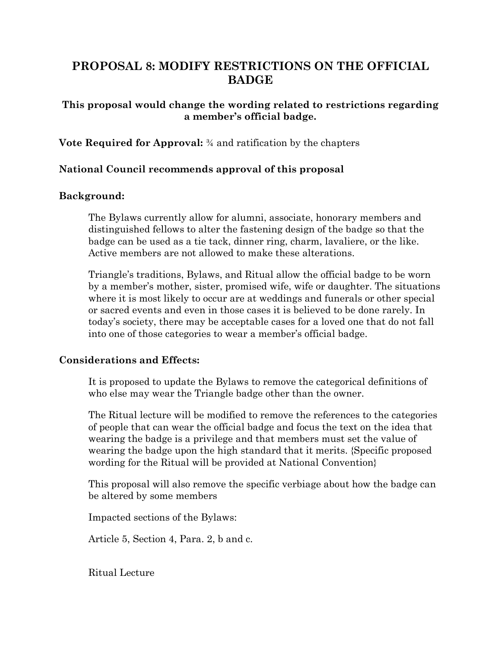# **PROPOSAL 8: MODIFY RESTRICTIONS ON THE OFFICIAL BADGE**

# **This proposal would change the wording related to restrictions regarding a member's official badge.**

**Vote Required for Approval:** ¾ and ratification by the chapters

# **National Council recommends approval of this proposal**

## **Background:**

The Bylaws currently allow for alumni, associate, honorary members and distinguished fellows to alter the fastening design of the badge so that the badge can be used as a tie tack, dinner ring, charm, lavaliere, or the like. Active members are not allowed to make these alterations.

Triangle's traditions, Bylaws, and Ritual allow the official badge to be worn by a member's mother, sister, promised wife, wife or daughter. The situations where it is most likely to occur are at weddings and funerals or other special or sacred events and even in those cases it is believed to be done rarely. In today's society, there may be acceptable cases for a loved one that do not fall into one of those categories to wear a member's official badge.

## **Considerations and Effects:**

It is proposed to update the Bylaws to remove the categorical definitions of who else may wear the Triangle badge other than the owner.

The Ritual lecture will be modified to remove the references to the categories of people that can wear the official badge and focus the text on the idea that wearing the badge is a privilege and that members must set the value of wearing the badge upon the high standard that it merits. {Specific proposed wording for the Ritual will be provided at National Convention}

This proposal will also remove the specific verbiage about how the badge can be altered by some members

Impacted sections of the Bylaws:

Article 5, Section 4, Para. 2, b and c.

Ritual Lecture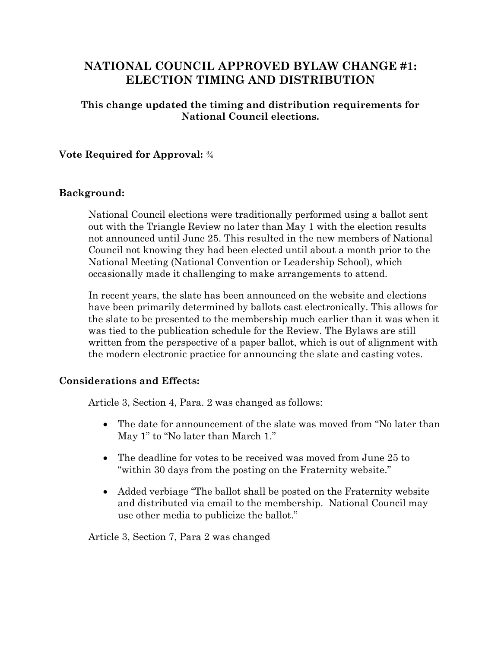# **NATIONAL COUNCIL APPROVED BYLAW CHANGE #1: ELECTION TIMING AND DISTRIBUTION**

# **This change updated the timing and distribution requirements for National Council elections.**

# **Vote Required for Approval:** ¾

## **Background:**

National Council elections were traditionally performed using a ballot sent out with the Triangle Review no later than May 1 with the election results not announced until June 25. This resulted in the new members of National Council not knowing they had been elected until about a month prior to the National Meeting (National Convention or Leadership School), which occasionally made it challenging to make arrangements to attend.

In recent years, the slate has been announced on the website and elections have been primarily determined by ballots cast electronically. This allows for the slate to be presented to the membership much earlier than it was when it was tied to the publication schedule for the Review. The Bylaws are still written from the perspective of a paper ballot, which is out of alignment with the modern electronic practice for announcing the slate and casting votes.

## **Considerations and Effects:**

Article 3, Section 4, Para. 2 was changed as follows:

- The date for announcement of the slate was moved from "No later than May 1" to "No later than March 1."
- The deadline for votes to be received was moved from June 25 to "within 30 days from the posting on the Fraternity website."
- Added verbiage "The ballot shall be posted on the Fraternity website and distributed via email to the membership. National Council may use other media to publicize the ballot."

Article 3, Section 7, Para 2 was changed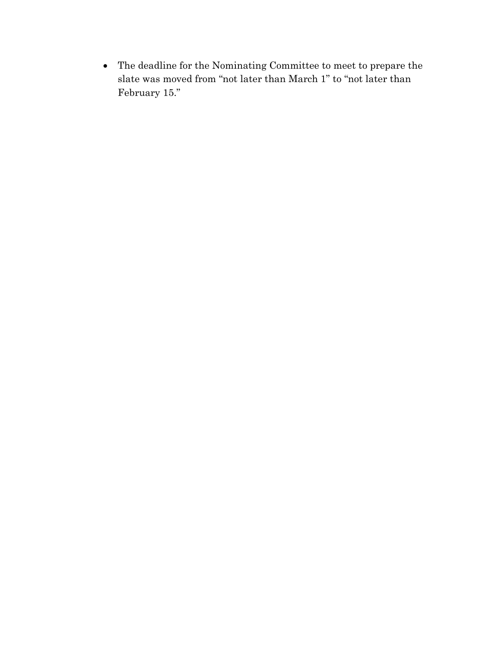• The deadline for the Nominating Committee to meet to prepare the slate was moved from "not later than March 1" to "not later than February 15."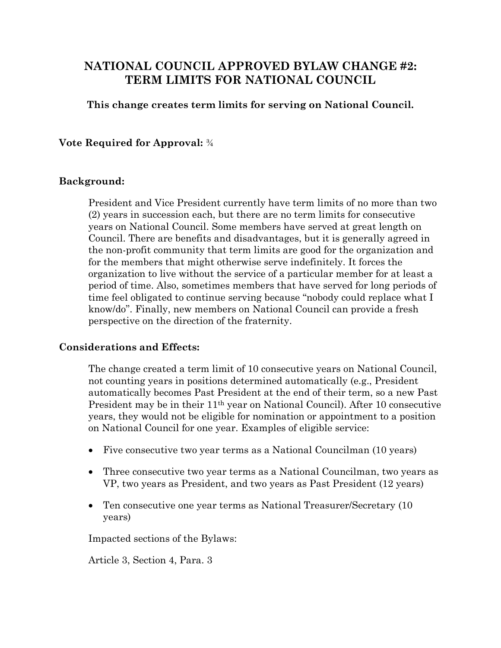# **NATIONAL COUNCIL APPROVED BYLAW CHANGE #2: TERM LIMITS FOR NATIONAL COUNCIL**

# **This change creates term limits for serving on National Council.**

# **Vote Required for Approval:** ¾

## **Background:**

President and Vice President currently have term limits of no more than two (2) years in succession each, but there are no term limits for consecutive years on National Council. Some members have served at great length on Council. There are benefits and disadvantages, but it is generally agreed in the non-profit community that term limits are good for the organization and for the members that might otherwise serve indefinitely. It forces the organization to live without the service of a particular member for at least a period of time. Also, sometimes members that have served for long periods of time feel obligated to continue serving because "nobody could replace what I know/do". Finally, new members on National Council can provide a fresh perspective on the direction of the fraternity.

## **Considerations and Effects:**

The change created a term limit of 10 consecutive years on National Council, not counting years in positions determined automatically (e.g., President automatically becomes Past President at the end of their term, so a new Past President may be in their 11th year on National Council). After 10 consecutive years, they would not be eligible for nomination or appointment to a position on National Council for one year. Examples of eligible service:

- Five consecutive two year terms as a National Councilman (10 years)
- Three consecutive two year terms as a National Councilman, two years as VP, two years as President, and two years as Past President (12 years)
- Ten consecutive one year terms as National Treasurer/Secretary (10) years)

Impacted sections of the Bylaws:

Article 3, Section 4, Para. 3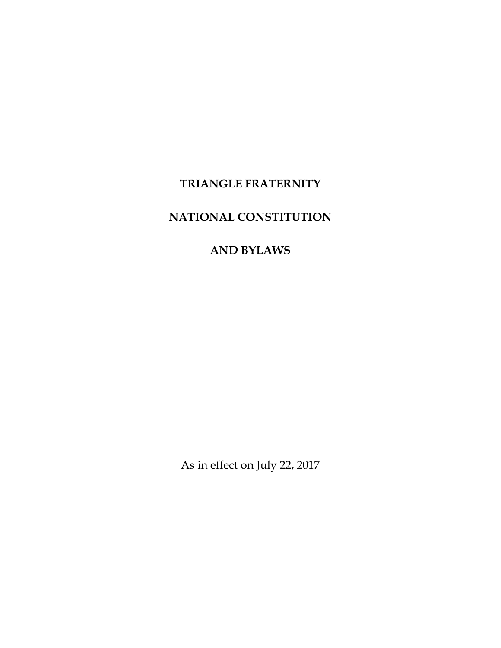# **TRIANGLE FRATERNITY**

# **NATIONAL CONSTITUTION**

# **AND BYLAWS**

As in effect on July 22, 2017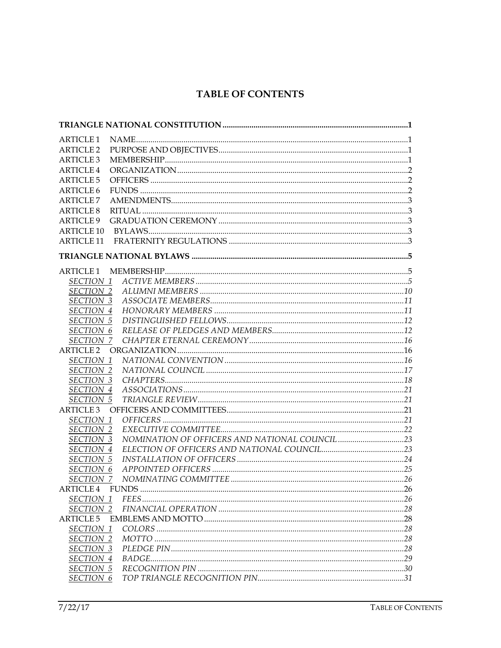# **TABLE OF CONTENTS**

| <b>ARTICLE 1</b>              |  |
|-------------------------------|--|
| <b>ARTICLE 2</b>              |  |
| <b>ARTICLE 3</b>              |  |
| ARTICLE <sub>4</sub>          |  |
| <b>ARTICLE 5</b>              |  |
| <b>ARTICLE 6</b>              |  |
| <b>ARTICLE 7</b>              |  |
| <b>ARTICLE 8</b>              |  |
| <b>ARTICLE 9</b>              |  |
| <b>ARTICLE 10</b>             |  |
| <b>ARTICLE 11</b>             |  |
|                               |  |
| <b>ARTICLE 1</b>              |  |
| SECTION 1                     |  |
| <b>SECTION 2</b>              |  |
| <b>SECTION 3</b>              |  |
| SECTION 4                     |  |
| <b>SECTION 5</b>              |  |
| SECTION 6                     |  |
| SECTION 7                     |  |
| <b>ARTICLE 2</b>              |  |
| SECTION 1                     |  |
| <b>SECTION 2</b>              |  |
| SECTION 3                     |  |
| SECTION 4                     |  |
| <b>SECTION 5</b>              |  |
| ARTICLE <sub>3</sub>          |  |
| SECTION 1<br><b>SECTION 2</b> |  |
| <b>SECTION 3</b>              |  |
| SECTION 4                     |  |
| <b>SECTION 5</b>              |  |
| <b>SECTION 6</b>              |  |
| SECTION 7                     |  |
| ARTICLE 4                     |  |
| SECTION 1                     |  |
| SECTION 2                     |  |
| <b>ARTICLE 5</b>              |  |
| SECTION 1                     |  |
| SECTION 2                     |  |
| SECTION 3                     |  |
| SECTION 4                     |  |
| <b>SECTION 5</b>              |  |
| SECTION 6                     |  |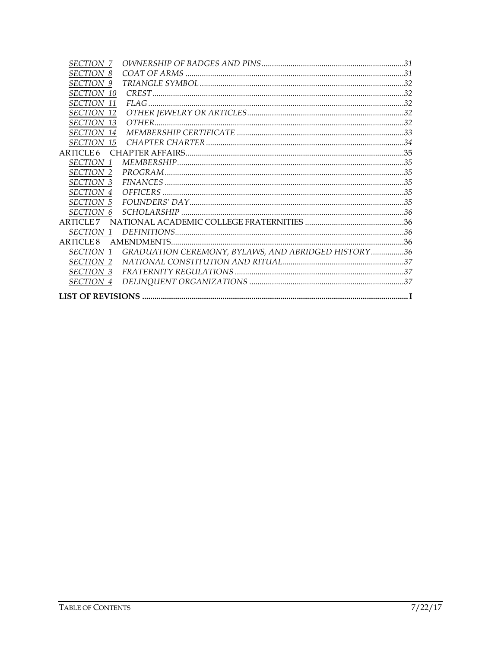| <b>SECTION 7</b>     |                                                     |  |
|----------------------|-----------------------------------------------------|--|
| <i>SECTION</i><br>8  |                                                     |  |
| <i>SECTION</i><br>9  |                                                     |  |
| <i>SECTION</i><br>10 |                                                     |  |
| <b>SECTION 11</b>    |                                                     |  |
| <b>SECTION</b><br>12 |                                                     |  |
| SECTION 13           |                                                     |  |
| SECTION 14           |                                                     |  |
| SECTION 15           |                                                     |  |
| ARTICLE 6            |                                                     |  |
| SECTION 1            |                                                     |  |
| SECTION 2            |                                                     |  |
| SECTION 3            |                                                     |  |
| SECTION 4            |                                                     |  |
| <b>SECTION 5</b>     |                                                     |  |
| SECTION 6            |                                                     |  |
| ARTICLE <sub>7</sub> |                                                     |  |
| <i>SECTION</i> 1     |                                                     |  |
| ARTICLE 8            |                                                     |  |
| SECTION 1            | GRADUATION CEREMONY, BYLAWS, AND ABRIDGED HISTORY36 |  |
| <b>SECTION 2</b>     |                                                     |  |
| <i>SECTION 3</i>     |                                                     |  |
| SECTION 4            |                                                     |  |
|                      |                                                     |  |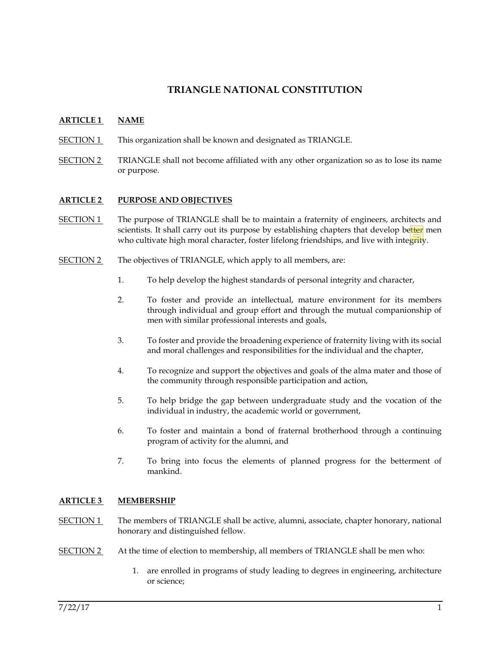# **TRIANGLE NATIONAL CONSTITUTION**

### **ARTICLE 1 NAME**

- SECTION 1 This organization shall be known and designated as TRIANGLE.
- SECTION 2 TRIANGLE shall not become affiliated with any other organization so as to lose its name or purpose.

#### **ARTICLE 2 PURPOSE AND OBJECTIVES**

- SECTION 1 The purpose of TRIANGLE shall be to maintain a fraternity of engineers, architects and scientists. It shall carry out its purpose by establishing chapters that develop better men who cultivate high moral character, foster lifelong friendships, and live with integrity.
- SECTION 2 The objectives of TRIANGLE, which apply to all members, are:
	- 1. To help develop the highest standards of personal integrity and character,
	- 2. To foster and provide an intellectual, mature environment for its members through individual and group effort and through the mutual companionship of men with similar professional interests and goals,
	- 3. To foster and provide the broadening experience of fraternity living with its social and moral challenges and responsibilities for the individual and the chapter,
	- 4. To recognize and support the objectives and goals of the alma mater and those of the community through responsible participation and action,
	- 5. To help bridge the gap between undergraduate study and the vocation of the individual in industry, the academic world or government,
	- 6. To foster and maintain a bond of fraternal brotherhood through a continuing program of activity for the alumni, and
	- 7. To bring into focus the elements of planned progress for the betterment of mankind.

#### **ARTICLE 3 MEMBERSHIP**

- SECTION 1 The members of TRIANGLE shall be active, alumni, associate, chapter honorary, national honorary and distinguished fellow.
- SECTION 2 At the time of election to membership, all members of TRIANGLE shall be men who:
	- 1. are enrolled in programs of study leading to degrees in engineering, architecture or science;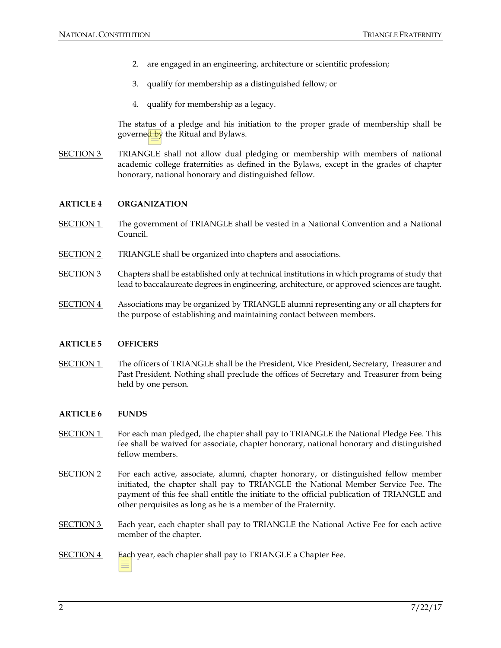- 2. are engaged in an engineering, architecture or scientific profession;
- 3. qualify for membership as a distinguished fellow; or
- 4. qualify for membership as a legacy.

The status of a pledge and his initiation to the proper grade of membership shall be governed by the Ritual and Bylaws.

SECTION 3 TRIANGLE shall not allow dual pledging or membership with members of national academic college fraternities as defined in the Bylaws, except in the grades of chapter honorary, national honorary and distinguished fellow.

### **ARTICLE 4 ORGANIZATION**

- SECTION 1 The government of TRIANGLE shall be vested in a National Convention and a National Council.
- SECTION 2 TRIANGLE shall be organized into chapters and associations.
- SECTION 3 Chapters shall be established only at technical institutions in which programs of study that lead to baccalaureate degrees in engineering, architecture, or approved sciences are taught.
- SECTION 4 Associations may be organized by TRIANGLE alumni representing any or all chapters for the purpose of establishing and maintaining contact between members.

### **ARTICLE 5 OFFICERS**

SECTION 1 The officers of TRIANGLE shall be the President, Vice President, Secretary, Treasurer and Past President. Nothing shall preclude the offices of Secretary and Treasurer from being held by one person.

### **ARTICLE 6 FUNDS**

- SECTION 1 For each man pledged, the chapter shall pay to TRIANGLE the National Pledge Fee. This fee shall be waived for associate, chapter honorary, national honorary and distinguished fellow members.
- SECTION 2 For each active, associate, alumni, chapter honorary, or distinguished fellow member initiated, the chapter shall pay to TRIANGLE the National Member Service Fee. The payment of this fee shall entitle the initiate to the official publication of TRIANGLE and other perquisites as long as he is a member of the Fraternity.
- SECTION 3 Each year, each chapter shall pay to TRIANGLE the National Active Fee for each active member of the chapter.

### SECTION 4 Each year, each chapter shall pay to TRIANGLE a Chapter Fee.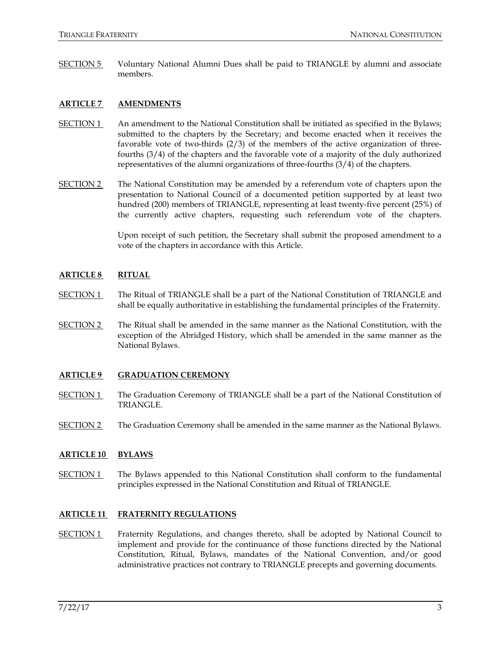SECTION 5 Voluntary National Alumni Dues shall be paid to TRIANGLE by alumni and associate members.

### **ARTICLE 7 AMENDMENTS**

- **An amendment to the National Constitution shall be initiated as specified in the Bylaws;** submitted to the chapters by the Secretary; and become enacted when it receives the favorable vote of two-thirds (2/3) of the members of the active organization of threefourths (3/4) of the chapters and the favorable vote of a majority of the duly authorized representatives of the alumni organizations of three-fourths (3/4) of the chapters.
- SECTION 2 The National Constitution may be amended by a referendum vote of chapters upon the presentation to National Council of a documented petition supported by at least two hundred (200) members of TRIANGLE, representing at least twenty-five percent (25%) of the currently active chapters, requesting such referendum vote of the chapters.

Upon receipt of such petition, the Secretary shall submit the proposed amendment to a vote of the chapters in accordance with this Article.

#### **ARTICLE 8 RITUAL**

- SECTION 1 The Ritual of TRIANGLE shall be a part of the National Constitution of TRIANGLE and shall be equally authoritative in establishing the fundamental principles of the Fraternity.
- SECTION 2 The Ritual shall be amended in the same manner as the National Constitution, with the exception of the Abridged History, which shall be amended in the same manner as the National Bylaws.

#### **ARTICLE 9 GRADUATION CEREMONY**

- SECTION 1 The Graduation Ceremony of TRIANGLE shall be a part of the National Constitution of TRIANGLE.
- SECTION 2 The Graduation Ceremony shall be amended in the same manner as the National Bylaws.

#### **ARTICLE 10 BYLAWS**

SECTION 1 The Bylaws appended to this National Constitution shall conform to the fundamental principles expressed in the National Constitution and Ritual of TRIANGLE.

#### **ARTICLE 11 FRATERNITY REGULATIONS**

SECTION 1 Fraternity Regulations, and changes thereto, shall be adopted by National Council to implement and provide for the continuance of those functions directed by the National Constitution, Ritual, Bylaws, mandates of the National Convention, and/or good administrative practices not contrary to TRIANGLE precepts and governing documents.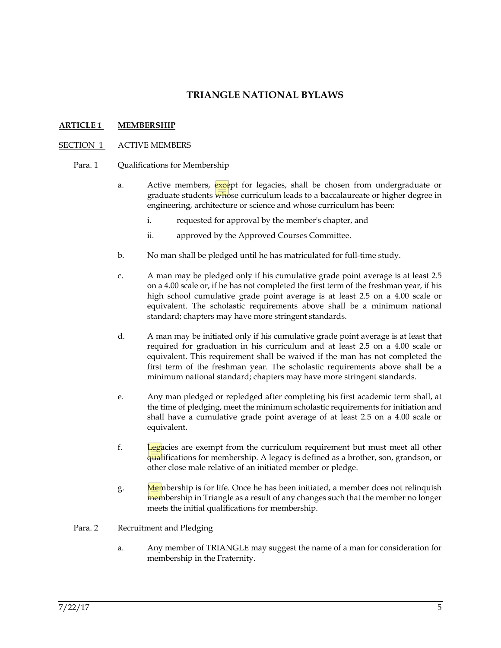# **TRIANGLE NATIONAL BYLAWS**

### **ARTICLE 1 MEMBERSHIP**

#### SECTION 1 ACTIVE MEMBERS

- Para. 1 Qualifications for Membership
	- a. Active members, except for legacies, shall be chosen from undergraduate or graduate students whose curriculum leads to a baccalaureate or higher degree in engineering, architecture or science and whose curriculum has been:
		- i. requested for approval by the member's chapter, and
		- ii. approved by the Approved Courses Committee.
	- b. No man shall be pledged until he has matriculated for full-time study.
	- c. A man may be pledged only if his cumulative grade point average is at least 2.5 on a 4.00 scale or, if he has not completed the first term of the freshman year, if his high school cumulative grade point average is at least 2.5 on a 4.00 scale or equivalent. The scholastic requirements above shall be a minimum national standard; chapters may have more stringent standards.
	- d. A man may be initiated only if his cumulative grade point average is at least that required for graduation in his curriculum and at least 2.5 on a 4.00 scale or equivalent. This requirement shall be waived if the man has not completed the first term of the freshman year. The scholastic requirements above shall be a minimum national standard; chapters may have more stringent standards.
	- e. Any man pledged or repledged after completing his first academic term shall, at the time of pledging, meet the minimum scholastic requirements for initiation and shall have a cumulative grade point average of at least 2.5 on a 4.00 scale or equivalent.
	- f. Legacies are exempt from the curriculum requirement but must meet all other qualifications for membership. A legacy is defined as a brother, son, grandson, or other close male relative of an initiated member or pledge.
	- g. Membership is for life. Once he has been initiated, a member does not relinquish membership in Triangle as a result of any changes such that the member no longer meets the initial qualifications for membership.

#### Para. 2 Recruitment and Pledging

a. Any member of TRIANGLE may suggest the name of a man for consideration for membership in the Fraternity.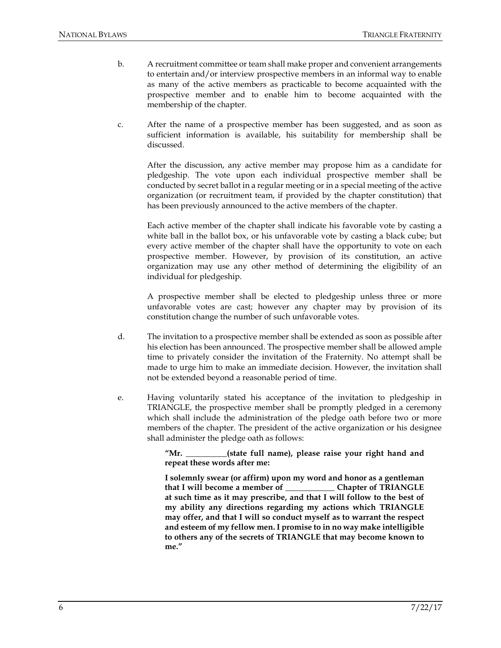- b. A recruitment committee or team shall make proper and convenient arrangements to entertain and/or interview prospective members in an informal way to enable as many of the active members as practicable to become acquainted with the prospective member and to enable him to become acquainted with the membership of the chapter.
- c. After the name of a prospective member has been suggested, and as soon as sufficient information is available, his suitability for membership shall be discussed.

After the discussion, any active member may propose him as a candidate for pledgeship. The vote upon each individual prospective member shall be conducted by secret ballot in a regular meeting or in a special meeting of the active organization (or recruitment team, if provided by the chapter constitution) that has been previously announced to the active members of the chapter.

Each active member of the chapter shall indicate his favorable vote by casting a white ball in the ballot box, or his unfavorable vote by casting a black cube; but every active member of the chapter shall have the opportunity to vote on each prospective member. However, by provision of its constitution, an active organization may use any other method of determining the eligibility of an individual for pledgeship.

A prospective member shall be elected to pledgeship unless three or more unfavorable votes are cast; however any chapter may by provision of its constitution change the number of such unfavorable votes.

- d. The invitation to a prospective member shall be extended as soon as possible after his election has been announced. The prospective member shall be allowed ample time to privately consider the invitation of the Fraternity. No attempt shall be made to urge him to make an immediate decision. However, the invitation shall not be extended beyond a reasonable period of time.
- e. Having voluntarily stated his acceptance of the invitation to pledgeship in TRIANGLE, the prospective member shall be promptly pledged in a ceremony which shall include the administration of the pledge oath before two or more members of the chapter. The president of the active organization or his designee shall administer the pledge oath as follows:

**"Mr. \_\_\_\_\_\_\_\_\_\_(state full name), please raise your right hand and repeat these words after me:**

**I solemnly swear (or affirm) upon my word and honor as a gentleman that I will become a member of \_\_\_\_\_\_\_\_\_\_\_\_ Chapter of TRIANGLE at such time as it may prescribe, and that I will follow to the best of my ability any directions regarding my actions which TRIANGLE may offer, and that I will so conduct myself as to warrant the respect and esteem of my fellow men. I promise to in no way make intelligible to others any of the secrets of TRIANGLE that may become known to me."**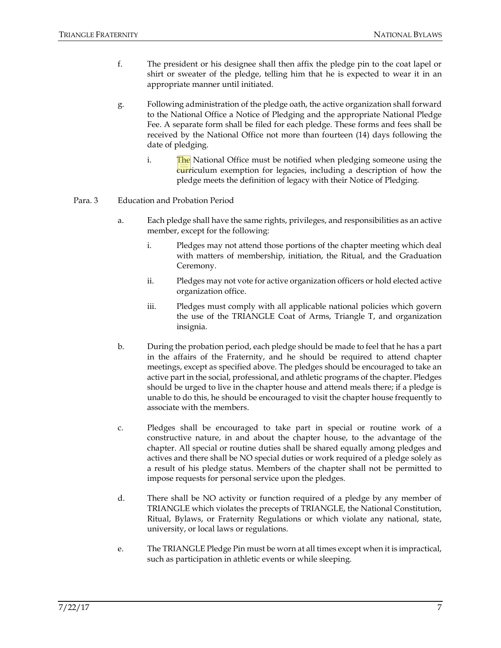- f. The president or his designee shall then affix the pledge pin to the coat lapel or shirt or sweater of the pledge, telling him that he is expected to wear it in an appropriate manner until initiated.
- g. Following administration of the pledge oath, the active organization shall forward to the National Office a Notice of Pledging and the appropriate National Pledge Fee. A separate form shall be filed for each pledge. These forms and fees shall be received by the National Office not more than fourteen (14) days following the date of pledging.
	- i. The National Office must be notified when pledging someone using the curriculum exemption for legacies, including a description of how the pledge meets the definition of legacy with their Notice of Pledging.

### Para. 3 Education and Probation Period

- a. Each pledge shall have the same rights, privileges, and responsibilities as an active member, except for the following:
	- i. Pledges may not attend those portions of the chapter meeting which deal with matters of membership, initiation, the Ritual, and the Graduation Ceremony.
	- ii. Pledges may not vote for active organization officers or hold elected active organization office.
	- iii. Pledges must comply with all applicable national policies which govern the use of the TRIANGLE Coat of Arms, Triangle T, and organization insignia.
- b. During the probation period, each pledge should be made to feel that he has a part in the affairs of the Fraternity, and he should be required to attend chapter meetings, except as specified above. The pledges should be encouraged to take an active part in the social, professional, and athletic programs of the chapter. Pledges should be urged to live in the chapter house and attend meals there; if a pledge is unable to do this, he should be encouraged to visit the chapter house frequently to associate with the members.
- c. Pledges shall be encouraged to take part in special or routine work of a constructive nature, in and about the chapter house, to the advantage of the chapter. All special or routine duties shall be shared equally among pledges and actives and there shall be NO special duties or work required of a pledge solely as a result of his pledge status. Members of the chapter shall not be permitted to impose requests for personal service upon the pledges.
- d. There shall be NO activity or function required of a pledge by any member of TRIANGLE which violates the precepts of TRIANGLE, the National Constitution, Ritual, Bylaws, or Fraternity Regulations or which violate any national, state, university, or local laws or regulations.
- e. The TRIANGLE Pledge Pin must be worn at all times except when it is impractical, such as participation in athletic events or while sleeping.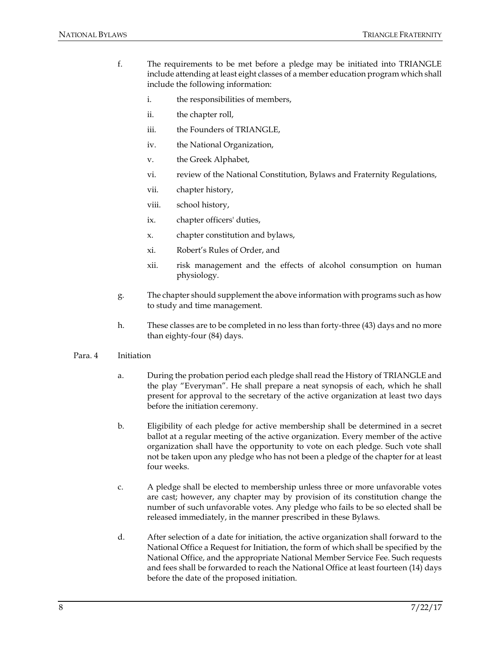- f. The requirements to be met before a pledge may be initiated into TRIANGLE include attending at least eight classes of a member education program which shall include the following information:
	- i. the responsibilities of members,
	- ii. the chapter roll,
	- iii. the Founders of TRIANGLE,
	- iv. the National Organization,
	- v. the Greek Alphabet,
	- vi. review of the National Constitution, Bylaws and Fraternity Regulations,
	- vii. chapter history,
	- viii. school history,
	- ix. chapter officers' duties,
	- x. chapter constitution and bylaws,
	- xi. Robert's Rules of Order, and
	- xii. risk management and the effects of alcohol consumption on human physiology.
- g. The chapter should supplement the above information with programs such as how to study and time management.
- h. These classes are to be completed in no less than forty-three (43) days and no more than eighty-four (84) days.

#### Para. 4 Initiation

- a. During the probation period each pledge shall read the History of TRIANGLE and the play "Everyman". He shall prepare a neat synopsis of each, which he shall present for approval to the secretary of the active organization at least two days before the initiation ceremony.
- b. Eligibility of each pledge for active membership shall be determined in a secret ballot at a regular meeting of the active organization. Every member of the active organization shall have the opportunity to vote on each pledge. Such vote shall not be taken upon any pledge who has not been a pledge of the chapter for at least four weeks.
- c. A pledge shall be elected to membership unless three or more unfavorable votes are cast; however, any chapter may by provision of its constitution change the number of such unfavorable votes. Any pledge who fails to be so elected shall be released immediately, in the manner prescribed in these Bylaws.
- d. After selection of a date for initiation, the active organization shall forward to the National Office a Request for Initiation, the form of which shall be specified by the National Office, and the appropriate National Member Service Fee. Such requests and fees shall be forwarded to reach the National Office at least fourteen (14) days before the date of the proposed initiation.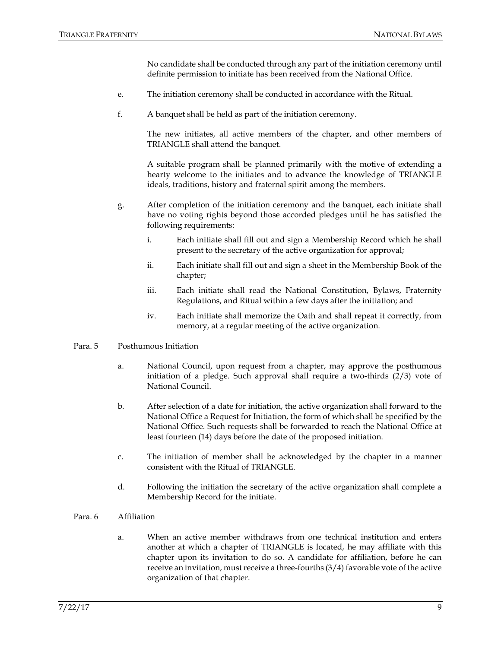No candidate shall be conducted through any part of the initiation ceremony until definite permission to initiate has been received from the National Office.

- e. The initiation ceremony shall be conducted in accordance with the Ritual.
- f. A banquet shall be held as part of the initiation ceremony.

The new initiates, all active members of the chapter, and other members of TRIANGLE shall attend the banquet.

A suitable program shall be planned primarily with the motive of extending a hearty welcome to the initiates and to advance the knowledge of TRIANGLE ideals, traditions, history and fraternal spirit among the members.

- g. After completion of the initiation ceremony and the banquet, each initiate shall have no voting rights beyond those accorded pledges until he has satisfied the following requirements:
	- i. Each initiate shall fill out and sign a Membership Record which he shall present to the secretary of the active organization for approval;
	- ii. Each initiate shall fill out and sign a sheet in the Membership Book of the chapter;
	- iii. Each initiate shall read the National Constitution, Bylaws, Fraternity Regulations, and Ritual within a few days after the initiation; and
	- iv. Each initiate shall memorize the Oath and shall repeat it correctly, from memory, at a regular meeting of the active organization.

#### Para. 5 Posthumous Initiation

- a. National Council, upon request from a chapter, may approve the posthumous initiation of a pledge. Such approval shall require a two-thirds (2/3) vote of National Council.
- b. After selection of a date for initiation, the active organization shall forward to the National Office a Request for Initiation, the form of which shall be specified by the National Office. Such requests shall be forwarded to reach the National Office at least fourteen (14) days before the date of the proposed initiation.
- c. The initiation of member shall be acknowledged by the chapter in a manner consistent with the Ritual of TRIANGLE.
- d. Following the initiation the secretary of the active organization shall complete a Membership Record for the initiate.
- Para. 6 Affiliation
	- a. When an active member withdraws from one technical institution and enters another at which a chapter of TRIANGLE is located, he may affiliate with this chapter upon its invitation to do so. A candidate for affiliation, before he can receive an invitation, must receive a three-fourths (3/4) favorable vote of the active organization of that chapter.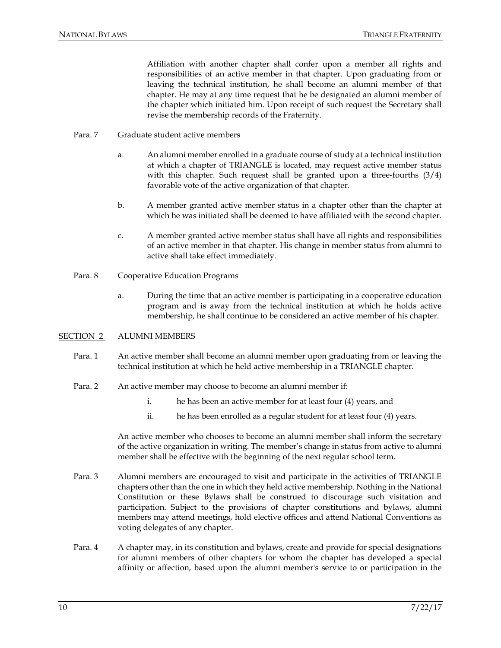Affiliation with another chapter shall confer upon a member all rights and responsibilities of an active member in that chapter. Upon graduating from or leaving the technical institution, he shall become an alumni member of that chapter. He may at any time request that he be designated an alumni member of the chapter which initiated him. Upon receipt of such request the Secretary shall revise the membership records of the Fraternity.

- Para. 7 Graduate student active members
	- a. An alumni member enrolled in a graduate course of study at a technical institution at which a chapter of TRIANGLE is located, may request active member status with this chapter. Such request shall be granted upon a three-fourths (3/4) favorable vote of the active organization of that chapter.
	- b. A member granted active member status in a chapter other than the chapter at which he was initiated shall be deemed to have affiliated with the second chapter.
	- c. A member granted active member status shall have all rights and responsibilities of an active member in that chapter. His change in member status from alumni to active shall take effect immediately.
- Para. 8 Cooperative Education Programs
	- a. During the time that an active member is participating in a cooperative education program and is away from the technical institution at which he holds active membership, he shall continue to be considered an active member of his chapter.

#### SECTION 2 ALUMNI MEMBERS

- Para. 1 An active member shall become an alumni member upon graduating from or leaving the technical institution at which he held active membership in a TRIANGLE chapter.
- Para. 2 An active member may choose to become an alumni member if:
	- i. he has been an active member for at least four (4) years, and
	- ii. he has been enrolled as a regular student for at least four (4) years.

An active member who chooses to become an alumni member shall inform the secretary of the active organization in writing. The member's change in status from active to alumni member shall be effective with the beginning of the next regular school term.

- Para. 3 Alumni members are encouraged to visit and participate in the activities of TRIANGLE chapters other than the one in which they held active membership. Nothing in the National Constitution or these Bylaws shall be construed to discourage such visitation and participation. Subject to the provisions of chapter constitutions and bylaws, alumni members may attend meetings, hold elective offices and attend National Conventions as voting delegates of any chapter.
- Para. 4 A chapter may, in its constitution and bylaws, create and provide for special designations for alumni members of other chapters for whom the chapter has developed a special affinity or affection, based upon the alumni member's service to or participation in the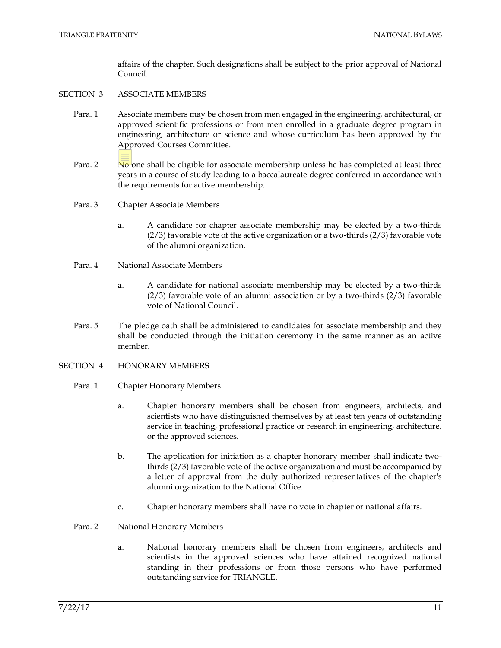affairs of the chapter. Such designations shall be subject to the prior approval of National Council.

### SECTION 3 ASSOCIATE MEMBERS

- Para. 1 Associate members may be chosen from men engaged in the engineering, architectural, or approved scientific professions or from men enrolled in a graduate degree program in engineering, architecture or science and whose curriculum has been approved by the Approved Courses Committee.
- Para. 2 No one shall be eligible for associate membership unless he has completed at least three years in a course of study leading to a baccalaureate degree conferred in accordance with the requirements for active membership.
- Para. 3 Chapter Associate Members
	- a. A candidate for chapter associate membership may be elected by a two-thirds (2/3) favorable vote of the active organization or a two-thirds (2/3) favorable vote of the alumni organization.
- Para. 4 National Associate Members
	- a. A candidate for national associate membership may be elected by a two-thirds  $(2/3)$  favorable vote of an alumni association or by a two-thirds  $(2/3)$  favorable vote of National Council.
- Para. 5 The pledge oath shall be administered to candidates for associate membership and they shall be conducted through the initiation ceremony in the same manner as an active member.
- SECTION 4 HONORARY MEMBERS
	- Para. 1 Chapter Honorary Members
		- a. Chapter honorary members shall be chosen from engineers, architects, and scientists who have distinguished themselves by at least ten years of outstanding service in teaching, professional practice or research in engineering, architecture, or the approved sciences.
		- b. The application for initiation as a chapter honorary member shall indicate twothirds (2/3) favorable vote of the active organization and must be accompanied by a letter of approval from the duly authorized representatives of the chapter's alumni organization to the National Office.
		- c. Chapter honorary members shall have no vote in chapter or national affairs.
	- Para. 2 National Honorary Members
		- a. National honorary members shall be chosen from engineers, architects and scientists in the approved sciences who have attained recognized national standing in their professions or from those persons who have performed outstanding service for TRIANGLE.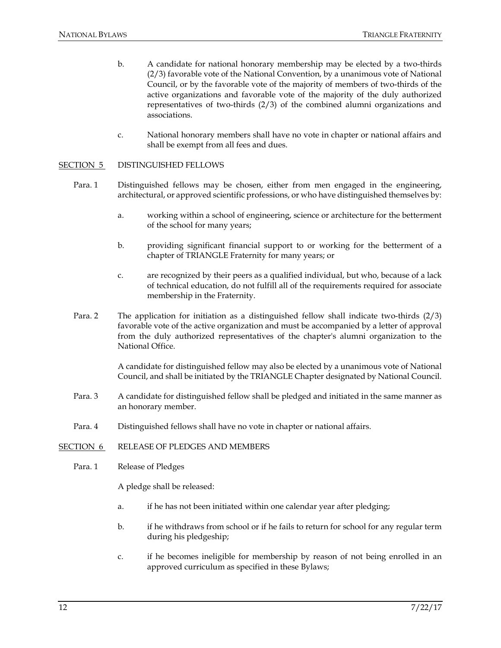- b. A candidate for national honorary membership may be elected by a two-thirds (2/3) favorable vote of the National Convention, by a unanimous vote of National Council, or by the favorable vote of the majority of members of two-thirds of the active organizations and favorable vote of the majority of the duly authorized representatives of two-thirds (2/3) of the combined alumni organizations and associations.
- c. National honorary members shall have no vote in chapter or national affairs and shall be exempt from all fees and dues.

#### SECTION 5 DISTINGUISHED FELLOWS

- Para. 1 Distinguished fellows may be chosen, either from men engaged in the engineering, architectural, or approved scientific professions, or who have distinguished themselves by:
	- a. working within a school of engineering, science or architecture for the betterment of the school for many years;
	- b. providing significant financial support to or working for the betterment of a chapter of TRIANGLE Fraternity for many years; or
	- c. are recognized by their peers as a qualified individual, but who, because of a lack of technical education, do not fulfill all of the requirements required for associate membership in the Fraternity.
- Para. 2 The application for initiation as a distinguished fellow shall indicate two-thirds (2/3) favorable vote of the active organization and must be accompanied by a letter of approval from the duly authorized representatives of the chapter's alumni organization to the National Office.

A candidate for distinguished fellow may also be elected by a unanimous vote of National Council, and shall be initiated by the TRIANGLE Chapter designated by National Council.

- Para. 3 A candidate for distinguished fellow shall be pledged and initiated in the same manner as an honorary member.
- Para. 4 Distinguished fellows shall have no vote in chapter or national affairs.
- SECTION 6 RELEASE OF PLEDGES AND MEMBERS
	- Para. 1 Release of Pledges

A pledge shall be released:

- a. if he has not been initiated within one calendar year after pledging;
- b. if he withdraws from school or if he fails to return for school for any regular term during his pledgeship;
- c. if he becomes ineligible for membership by reason of not being enrolled in an approved curriculum as specified in these Bylaws;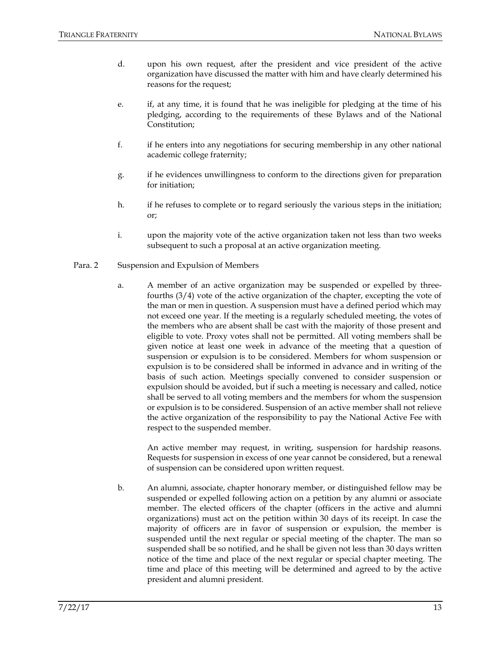- d. upon his own request, after the president and vice president of the active organization have discussed the matter with him and have clearly determined his reasons for the request;
- e. if, at any time, it is found that he was ineligible for pledging at the time of his pledging, according to the requirements of these Bylaws and of the National Constitution;
- f. if he enters into any negotiations for securing membership in any other national academic college fraternity;
- g. if he evidences unwillingness to conform to the directions given for preparation for initiation;
- h. if he refuses to complete or to regard seriously the various steps in the initiation; or;
- i. upon the majority vote of the active organization taken not less than two weeks subsequent to such a proposal at an active organization meeting.

### Para. 2 Suspension and Expulsion of Members

a. A member of an active organization may be suspended or expelled by threefourths (3/4) vote of the active organization of the chapter, excepting the vote of the man or men in question. A suspension must have a defined period which may not exceed one year. If the meeting is a regularly scheduled meeting, the votes of the members who are absent shall be cast with the majority of those present and eligible to vote. Proxy votes shall not be permitted. All voting members shall be given notice at least one week in advance of the meeting that a question of suspension or expulsion is to be considered. Members for whom suspension or expulsion is to be considered shall be informed in advance and in writing of the basis of such action. Meetings specially convened to consider suspension or expulsion should be avoided, but if such a meeting is necessary and called, notice shall be served to all voting members and the members for whom the suspension or expulsion is to be considered. Suspension of an active member shall not relieve the active organization of the responsibility to pay the National Active Fee with respect to the suspended member.

An active member may request, in writing, suspension for hardship reasons. Requests for suspension in excess of one year cannot be considered, but a renewal of suspension can be considered upon written request.

b. An alumni, associate, chapter honorary member, or distinguished fellow may be suspended or expelled following action on a petition by any alumni or associate member. The elected officers of the chapter (officers in the active and alumni organizations) must act on the petition within 30 days of its receipt. In case the majority of officers are in favor of suspension or expulsion, the member is suspended until the next regular or special meeting of the chapter. The man so suspended shall be so notified, and he shall be given not less than 30 days written notice of the time and place of the next regular or special chapter meeting. The time and place of this meeting will be determined and agreed to by the active president and alumni president.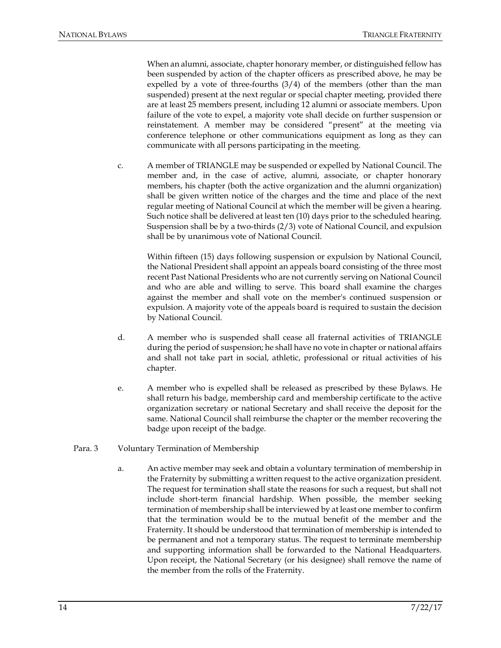When an alumni, associate, chapter honorary member, or distinguished fellow has been suspended by action of the chapter officers as prescribed above, he may be expelled by a vote of three-fourths  $(3/4)$  of the members (other than the man suspended) present at the next regular or special chapter meeting, provided there are at least 25 members present, including 12 alumni or associate members. Upon failure of the vote to expel, a majority vote shall decide on further suspension or reinstatement. A member may be considered "present" at the meeting via conference telephone or other communications equipment as long as they can communicate with all persons participating in the meeting.

c. A member of TRIANGLE may be suspended or expelled by National Council. The member and, in the case of active, alumni, associate, or chapter honorary members, his chapter (both the active organization and the alumni organization) shall be given written notice of the charges and the time and place of the next regular meeting of National Council at which the member will be given a hearing. Such notice shall be delivered at least ten (10) days prior to the scheduled hearing. Suspension shall be by a two-thirds (2/3) vote of National Council, and expulsion shall be by unanimous vote of National Council.

Within fifteen (15) days following suspension or expulsion by National Council, the National President shall appoint an appeals board consisting of the three most recent Past National Presidents who are not currently serving on National Council and who are able and willing to serve. This board shall examine the charges against the member and shall vote on the member's continued suspension or expulsion. A majority vote of the appeals board is required to sustain the decision by National Council.

- d. A member who is suspended shall cease all fraternal activities of TRIANGLE during the period of suspension; he shall have no vote in chapter or national affairs and shall not take part in social, athletic, professional or ritual activities of his chapter.
- e. A member who is expelled shall be released as prescribed by these Bylaws. He shall return his badge, membership card and membership certificate to the active organization secretary or national Secretary and shall receive the deposit for the same. National Council shall reimburse the chapter or the member recovering the badge upon receipt of the badge.
- Para. 3 Voluntary Termination of Membership
	- a. An active member may seek and obtain a voluntary termination of membership in the Fraternity by submitting a written request to the active organization president. The request for termination shall state the reasons for such a request, but shall not include short-term financial hardship. When possible, the member seeking termination of membership shall be interviewed by at least one member to confirm that the termination would be to the mutual benefit of the member and the Fraternity. It should be understood that termination of membership is intended to be permanent and not a temporary status. The request to terminate membership and supporting information shall be forwarded to the National Headquarters. Upon receipt, the National Secretary (or his designee) shall remove the name of the member from the rolls of the Fraternity.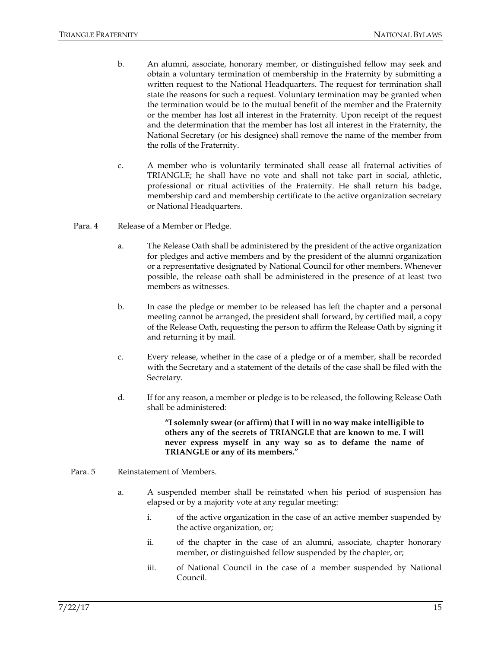- b. An alumni, associate, honorary member, or distinguished fellow may seek and obtain a voluntary termination of membership in the Fraternity by submitting a written request to the National Headquarters. The request for termination shall state the reasons for such a request. Voluntary termination may be granted when the termination would be to the mutual benefit of the member and the Fraternity or the member has lost all interest in the Fraternity. Upon receipt of the request and the determination that the member has lost all interest in the Fraternity, the National Secretary (or his designee) shall remove the name of the member from the rolls of the Fraternity.
- c. A member who is voluntarily terminated shall cease all fraternal activities of TRIANGLE; he shall have no vote and shall not take part in social, athletic, professional or ritual activities of the Fraternity. He shall return his badge, membership card and membership certificate to the active organization secretary or National Headquarters.
- Para. 4 Release of a Member or Pledge.
	- a. The Release Oath shall be administered by the president of the active organization for pledges and active members and by the president of the alumni organization or a representative designated by National Council for other members. Whenever possible, the release oath shall be administered in the presence of at least two members as witnesses.
	- b. In case the pledge or member to be released has left the chapter and a personal meeting cannot be arranged, the president shall forward, by certified mail, a copy of the Release Oath, requesting the person to affirm the Release Oath by signing it and returning it by mail.
	- c. Every release, whether in the case of a pledge or of a member, shall be recorded with the Secretary and a statement of the details of the case shall be filed with the Secretary.
	- d. If for any reason, a member or pledge is to be released, the following Release Oath shall be administered:

**"I solemnly swear (or affirm) that I will in no way make intelligible to others any of the secrets of TRIANGLE that are known to me. I will never express myself in any way so as to defame the name of TRIANGLE or any of its members."**

#### Para. 5 Reinstatement of Members.

- a. A suspended member shall be reinstated when his period of suspension has elapsed or by a majority vote at any regular meeting:
	- i. of the active organization in the case of an active member suspended by the active organization, or;
	- ii. of the chapter in the case of an alumni, associate, chapter honorary member, or distinguished fellow suspended by the chapter, or;
	- iii. of National Council in the case of a member suspended by National Council.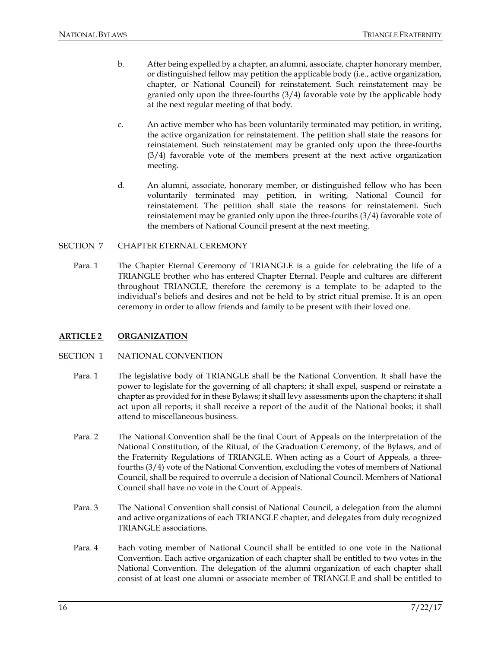- b. After being expelled by a chapter, an alumni, associate, chapter honorary member, or distinguished fellow may petition the applicable body (i.e., active organization, chapter, or National Council) for reinstatement. Such reinstatement may be granted only upon the three-fourths (3/4) favorable vote by the applicable body at the next regular meeting of that body.
- c. An active member who has been voluntarily terminated may petition, in writing, the active organization for reinstatement. The petition shall state the reasons for reinstatement. Such reinstatement may be granted only upon the three-fourths (3/4) favorable vote of the members present at the next active organization meeting.
- d. An alumni, associate, honorary member, or distinguished fellow who has been voluntarily terminated may petition, in writing, National Council for reinstatement. The petition shall state the reasons for reinstatement. Such reinstatement may be granted only upon the three-fourths (3/4) favorable vote of the members of National Council present at the next meeting.

#### SECTION 7 CHAPTER ETERNAL CEREMONY

Para. 1 The Chapter Eternal Ceremony of TRIANGLE is a guide for celebrating the life of a TRIANGLE brother who has entered Chapter Eternal. People and cultures are different throughout TRIANGLE, therefore the ceremony is a template to be adapted to the individual's beliefs and desires and not be held to by strict ritual premise. It is an open ceremony in order to allow friends and family to be present with their loved one.

#### **ARTICLE 2 ORGANIZATION**

#### SECTION 1 NATIONAL CONVENTION

- Para. 1 The legislative body of TRIANGLE shall be the National Convention. It shall have the power to legislate for the governing of all chapters; it shall expel, suspend or reinstate a chapter as provided for in these Bylaws; it shall levy assessments upon the chapters; it shall act upon all reports; it shall receive a report of the audit of the National books; it shall attend to miscellaneous business.
- Para. 2 The National Convention shall be the final Court of Appeals on the interpretation of the National Constitution, of the Ritual, of the Graduation Ceremony, of the Bylaws, and of the Fraternity Regulations of TRIANGLE. When acting as a Court of Appeals, a threefourths (3/4) vote of the National Convention, excluding the votes of members of National Council, shall be required to overrule a decision of National Council. Members of National Council shall have no vote in the Court of Appeals.
- Para. 3 The National Convention shall consist of National Council, a delegation from the alumni and active organizations of each TRIANGLE chapter, and delegates from duly recognized TRIANGLE associations.
- Para. 4 Each voting member of National Council shall be entitled to one vote in the National Convention. Each active organization of each chapter shall be entitled to two votes in the National Convention. The delegation of the alumni organization of each chapter shall consist of at least one alumni or associate member of TRIANGLE and shall be entitled to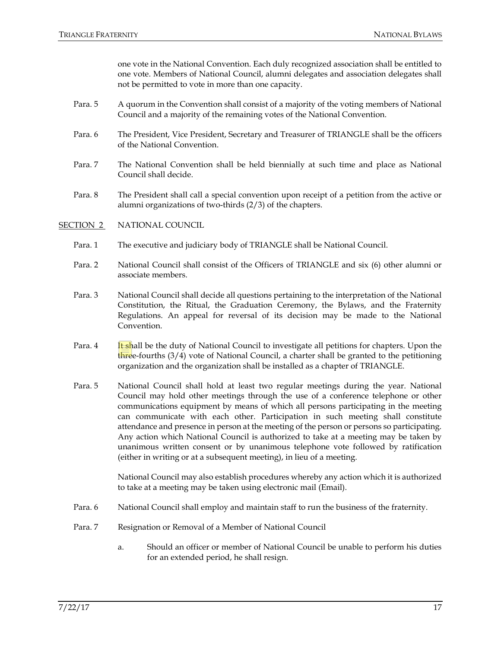one vote in the National Convention. Each duly recognized association shall be entitled to one vote. Members of National Council, alumni delegates and association delegates shall not be permitted to vote in more than one capacity.

- Para. 5 A quorum in the Convention shall consist of a majority of the voting members of National Council and a majority of the remaining votes of the National Convention.
- Para. 6 The President, Vice President, Secretary and Treasurer of TRIANGLE shall be the officers of the National Convention.
- Para. 7 The National Convention shall be held biennially at such time and place as National Council shall decide.
- Para. 8 The President shall call a special convention upon receipt of a petition from the active or alumni organizations of two-thirds (2/3) of the chapters.

### SECTION 2 NATIONAL COUNCIL

- Para. 1 The executive and judiciary body of TRIANGLE shall be National Council.
- Para. 2 National Council shall consist of the Officers of TRIANGLE and six (6) other alumni or associate members.
- Para. 3 National Council shall decide all questions pertaining to the interpretation of the National Constitution, the Ritual, the Graduation Ceremony, the Bylaws, and the Fraternity Regulations. An appeal for reversal of its decision may be made to the National Convention.
- Para. 4 It shall be the duty of National Council to investigate all petitions for chapters. Upon the three-fourths  $(3/4)$  vote of National Council, a charter shall be granted to the petitioning organization and the organization shall be installed as a chapter of TRIANGLE.
- Para. 5 National Council shall hold at least two regular meetings during the year. National Council may hold other meetings through the use of a conference telephone or other communications equipment by means of which all persons participating in the meeting can communicate with each other. Participation in such meeting shall constitute attendance and presence in person at the meeting of the person or persons so participating. Any action which National Council is authorized to take at a meeting may be taken by unanimous written consent or by unanimous telephone vote followed by ratification (either in writing or at a subsequent meeting), in lieu of a meeting.

National Council may also establish procedures whereby any action which it is authorized to take at a meeting may be taken using electronic mail (Email).

- Para. 6 National Council shall employ and maintain staff to run the business of the fraternity.
- Para. 7 Resignation or Removal of a Member of National Council
	- a. Should an officer or member of National Council be unable to perform his duties for an extended period, he shall resign.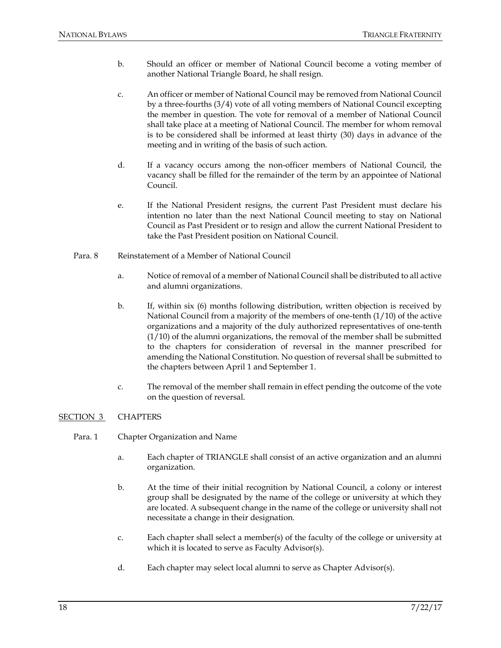- b. Should an officer or member of National Council become a voting member of another National Triangle Board, he shall resign.
- c. An officer or member of National Council may be removed from National Council by a three-fourths (3/4) vote of all voting members of National Council excepting the member in question. The vote for removal of a member of National Council shall take place at a meeting of National Council. The member for whom removal is to be considered shall be informed at least thirty (30) days in advance of the meeting and in writing of the basis of such action.
- d. If a vacancy occurs among the non-officer members of National Council, the vacancy shall be filled for the remainder of the term by an appointee of National Council.
- e. If the National President resigns, the current Past President must declare his intention no later than the next National Council meeting to stay on National Council as Past President or to resign and allow the current National President to take the Past President position on National Council.
- Para. 8 Reinstatement of a Member of National Council
	- a. Notice of removal of a member of National Council shall be distributed to all active and alumni organizations.
	- b. If, within six (6) months following distribution, written objection is received by National Council from a majority of the members of one-tenth (1/10) of the active organizations and a majority of the duly authorized representatives of one-tenth  $(1/10)$  of the alumni organizations, the removal of the member shall be submitted to the chapters for consideration of reversal in the manner prescribed for amending the National Constitution. No question of reversal shall be submitted to the chapters between April 1 and September 1.
	- c. The removal of the member shall remain in effect pending the outcome of the vote on the question of reversal.

### SECTION 3 CHAPTERS

- Para. 1 Chapter Organization and Name
	- a. Each chapter of TRIANGLE shall consist of an active organization and an alumni organization.
	- b. At the time of their initial recognition by National Council, a colony or interest group shall be designated by the name of the college or university at which they are located. A subsequent change in the name of the college or university shall not necessitate a change in their designation.
	- c. Each chapter shall select a member(s) of the faculty of the college or university at which it is located to serve as Faculty Advisor(s).
	- d. Each chapter may select local alumni to serve as Chapter Advisor(s).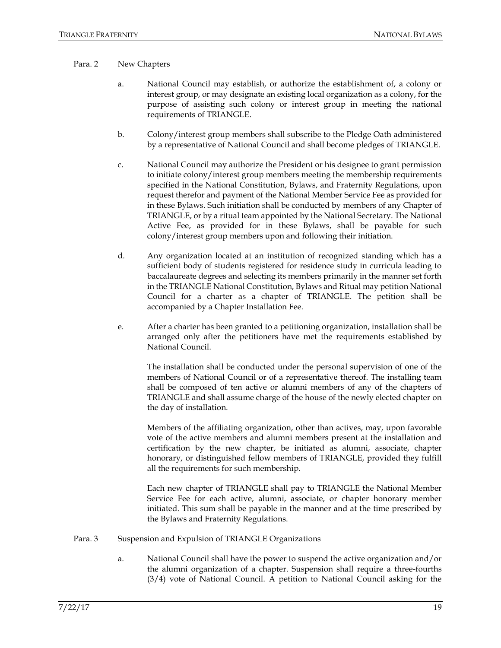#### Para. 2 New Chapters

- a. National Council may establish, or authorize the establishment of, a colony or interest group, or may designate an existing local organization as a colony, for the purpose of assisting such colony or interest group in meeting the national requirements of TRIANGLE.
- b. Colony/interest group members shall subscribe to the Pledge Oath administered by a representative of National Council and shall become pledges of TRIANGLE.
- c. National Council may authorize the President or his designee to grant permission to initiate colony/interest group members meeting the membership requirements specified in the National Constitution, Bylaws, and Fraternity Regulations, upon request therefor and payment of the National Member Service Fee as provided for in these Bylaws. Such initiation shall be conducted by members of any Chapter of TRIANGLE, or by a ritual team appointed by the National Secretary. The National Active Fee, as provided for in these Bylaws, shall be payable for such colony/interest group members upon and following their initiation.
- d. Any organization located at an institution of recognized standing which has a sufficient body of students registered for residence study in curricula leading to baccalaureate degrees and selecting its members primarily in the manner set forth in the TRIANGLE National Constitution, Bylaws and Ritual may petition National Council for a charter as a chapter of TRIANGLE. The petition shall be accompanied by a Chapter Installation Fee.
- e. After a charter has been granted to a petitioning organization, installation shall be arranged only after the petitioners have met the requirements established by National Council.

The installation shall be conducted under the personal supervision of one of the members of National Council or of a representative thereof. The installing team shall be composed of ten active or alumni members of any of the chapters of TRIANGLE and shall assume charge of the house of the newly elected chapter on the day of installation.

Members of the affiliating organization, other than actives, may, upon favorable vote of the active members and alumni members present at the installation and certification by the new chapter, be initiated as alumni, associate, chapter honorary, or distinguished fellow members of TRIANGLE, provided they fulfill all the requirements for such membership.

Each new chapter of TRIANGLE shall pay to TRIANGLE the National Member Service Fee for each active, alumni, associate, or chapter honorary member initiated. This sum shall be payable in the manner and at the time prescribed by the Bylaws and Fraternity Regulations.

- Para. 3 Suspension and Expulsion of TRIANGLE Organizations
	- a. National Council shall have the power to suspend the active organization and/or the alumni organization of a chapter. Suspension shall require a three-fourths (3/4) vote of National Council. A petition to National Council asking for the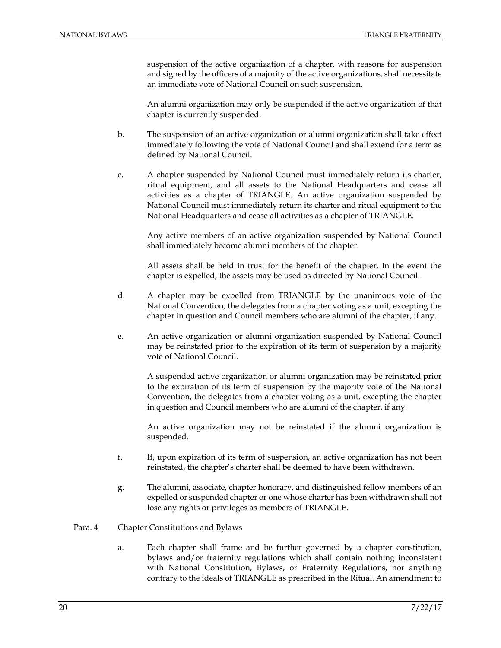suspension of the active organization of a chapter, with reasons for suspension and signed by the officers of a majority of the active organizations, shall necessitate an immediate vote of National Council on such suspension.

An alumni organization may only be suspended if the active organization of that chapter is currently suspended.

- b. The suspension of an active organization or alumni organization shall take effect immediately following the vote of National Council and shall extend for a term as defined by National Council.
- c. A chapter suspended by National Council must immediately return its charter, ritual equipment, and all assets to the National Headquarters and cease all activities as a chapter of TRIANGLE. An active organization suspended by National Council must immediately return its charter and ritual equipment to the National Headquarters and cease all activities as a chapter of TRIANGLE.

Any active members of an active organization suspended by National Council shall immediately become alumni members of the chapter.

All assets shall be held in trust for the benefit of the chapter. In the event the chapter is expelled, the assets may be used as directed by National Council.

- d. A chapter may be expelled from TRIANGLE by the unanimous vote of the National Convention, the delegates from a chapter voting as a unit, excepting the chapter in question and Council members who are alumni of the chapter, if any.
- e. An active organization or alumni organization suspended by National Council may be reinstated prior to the expiration of its term of suspension by a majority vote of National Council.

A suspended active organization or alumni organization may be reinstated prior to the expiration of its term of suspension by the majority vote of the National Convention, the delegates from a chapter voting as a unit, excepting the chapter in question and Council members who are alumni of the chapter, if any.

An active organization may not be reinstated if the alumni organization is suspended.

- f. If, upon expiration of its term of suspension, an active organization has not been reinstated, the chapter's charter shall be deemed to have been withdrawn.
- g. The alumni, associate, chapter honorary, and distinguished fellow members of an expelled or suspended chapter or one whose charter has been withdrawn shall not lose any rights or privileges as members of TRIANGLE.
- Para. 4 Chapter Constitutions and Bylaws
	- a. Each chapter shall frame and be further governed by a chapter constitution, bylaws and/or fraternity regulations which shall contain nothing inconsistent with National Constitution, Bylaws, or Fraternity Regulations, nor anything contrary to the ideals of TRIANGLE as prescribed in the Ritual. An amendment to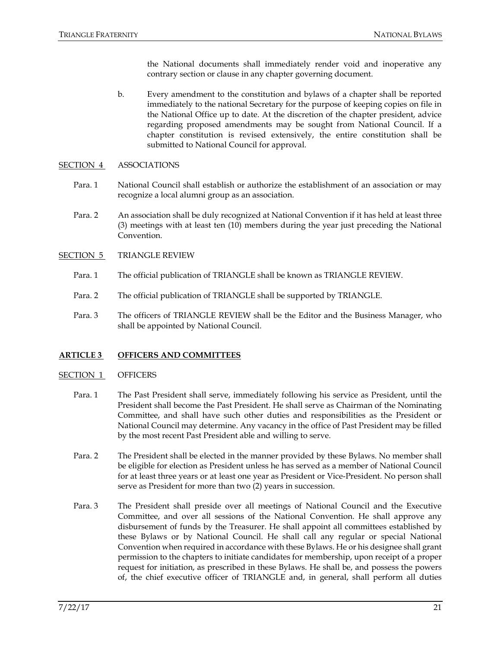the National documents shall immediately render void and inoperative any contrary section or clause in any chapter governing document.

b. Every amendment to the constitution and bylaws of a chapter shall be reported immediately to the national Secretary for the purpose of keeping copies on file in the National Office up to date. At the discretion of the chapter president, advice regarding proposed amendments may be sought from National Council. If a chapter constitution is revised extensively, the entire constitution shall be submitted to National Council for approval.

### SECTION 4 ASSOCIATIONS

- Para. 1 National Council shall establish or authorize the establishment of an association or may recognize a local alumni group as an association.
- Para. 2 An association shall be duly recognized at National Convention if it has held at least three (3) meetings with at least ten (10) members during the year just preceding the National Convention.
- SECTION 5 TRIANGLE REVIEW
	- Para. 1 The official publication of TRIANGLE shall be known as TRIANGLE REVIEW.
	- Para. 2 The official publication of TRIANGLE shall be supported by TRIANGLE.
	- Para. 3 The officers of TRIANGLE REVIEW shall be the Editor and the Business Manager, who shall be appointed by National Council.

### **ARTICLE 3 OFFICERS AND COMMITTEES**

#### SECTION 1 OFFICERS

- Para. 1 The Past President shall serve, immediately following his service as President, until the President shall become the Past President. He shall serve as Chairman of the Nominating Committee, and shall have such other duties and responsibilities as the President or National Council may determine. Any vacancy in the office of Past President may be filled by the most recent Past President able and willing to serve.
- Para. 2 The President shall be elected in the manner provided by these Bylaws. No member shall be eligible for election as President unless he has served as a member of National Council for at least three years or at least one year as President or Vice-President. No person shall serve as President for more than two (2) years in succession.
- Para. 3 The President shall preside over all meetings of National Council and the Executive Committee, and over all sessions of the National Convention. He shall approve any disbursement of funds by the Treasurer. He shall appoint all committees established by these Bylaws or by National Council. He shall call any regular or special National Convention when required in accordance with these Bylaws. He or his designee shall grant permission to the chapters to initiate candidates for membership, upon receipt of a proper request for initiation, as prescribed in these Bylaws. He shall be, and possess the powers of, the chief executive officer of TRIANGLE and, in general, shall perform all duties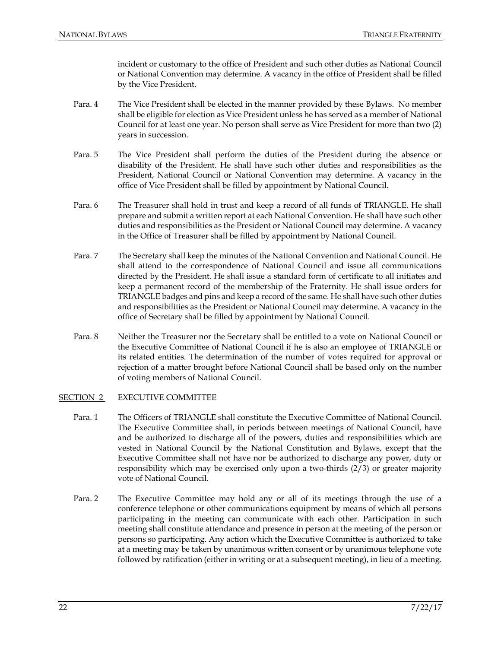incident or customary to the office of President and such other duties as National Council or National Convention may determine. A vacancy in the office of President shall be filled by the Vice President.

- Para. 4 The Vice President shall be elected in the manner provided by these Bylaws. No member shall be eligible for election as Vice President unless he has served as a member of National Council for at least one year. No person shall serve as Vice President for more than two (2) years in succession.
- Para. 5 The Vice President shall perform the duties of the President during the absence or disability of the President. He shall have such other duties and responsibilities as the President, National Council or National Convention may determine. A vacancy in the office of Vice President shall be filled by appointment by National Council.
- Para. 6 The Treasurer shall hold in trust and keep a record of all funds of TRIANGLE. He shall prepare and submit a written report at each National Convention. He shall have such other duties and responsibilities as the President or National Council may determine. A vacancy in the Office of Treasurer shall be filled by appointment by National Council.
- Para. 7 The Secretary shall keep the minutes of the National Convention and National Council. He shall attend to the correspondence of National Council and issue all communications directed by the President. He shall issue a standard form of certificate to all initiates and keep a permanent record of the membership of the Fraternity. He shall issue orders for TRIANGLE badges and pins and keep a record of the same. He shall have such other duties and responsibilities as the President or National Council may determine. A vacancy in the office of Secretary shall be filled by appointment by National Council.
- Para. 8 Neither the Treasurer nor the Secretary shall be entitled to a vote on National Council or the Executive Committee of National Council if he is also an employee of TRIANGLE or its related entities. The determination of the number of votes required for approval or rejection of a matter brought before National Council shall be based only on the number of voting members of National Council.

### SECTION 2 EXECUTIVE COMMITTEE

- Para. 1 The Officers of TRIANGLE shall constitute the Executive Committee of National Council. The Executive Committee shall, in periods between meetings of National Council, have and be authorized to discharge all of the powers, duties and responsibilities which are vested in National Council by the National Constitution and Bylaws, except that the Executive Committee shall not have nor be authorized to discharge any power, duty or responsibility which may be exercised only upon a two-thirds (2/3) or greater majority vote of National Council.
- Para. 2 The Executive Committee may hold any or all of its meetings through the use of a conference telephone or other communications equipment by means of which all persons participating in the meeting can communicate with each other. Participation in such meeting shall constitute attendance and presence in person at the meeting of the person or persons so participating. Any action which the Executive Committee is authorized to take at a meeting may be taken by unanimous written consent or by unanimous telephone vote followed by ratification (either in writing or at a subsequent meeting), in lieu of a meeting.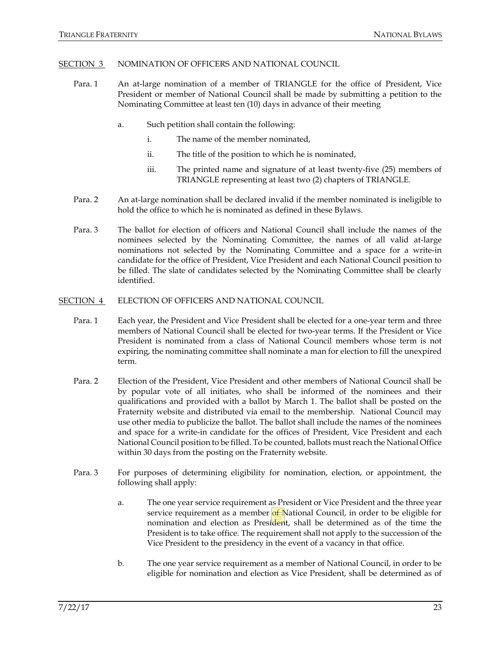#### SECTION 3 NOMINATION OF OFFICERS AND NATIONAL COUNCIL

- Para. 1 An at-large nomination of a member of TRIANGLE for the office of President, Vice President or member of National Council shall be made by submitting a petition to the Nominating Committee at least ten (10) days in advance of their meeting
	- a. Such petition shall contain the following:
		- i. The name of the member nominated,
		- ii. The title of the position to which he is nominated,
		- iii. The printed name and signature of at least twenty-five (25) members of TRIANGLE representing at least two (2) chapters of TRIANGLE.
- Para. 2 An at-large nomination shall be declared invalid if the member nominated is ineligible to hold the office to which he is nominated as defined in these Bylaws.
- Para. 3 The ballot for election of officers and National Council shall include the names of the nominees selected by the Nominating Committee, the names of all valid at-large nominations not selected by the Nominating Committee and a space for a write-in candidate for the office of President, Vice President and each National Council position to be filled. The slate of candidates selected by the Nominating Committee shall be clearly identified.
- SECTION 4 ELECTION OF OFFICERS AND NATIONAL COUNCIL
	- Para. 1 Each year, the President and Vice President shall be elected for a one-year term and three members of National Council shall be elected for two-year terms. If the President or Vice President is nominated from a class of National Council members whose term is not expiring, the nominating committee shall nominate a man for election to fill the unexpired term.
	- Para. 2 Election of the President, Vice President and other members of National Council shall be by popular vote of all initiates, who shall be informed of the nominees and their qualifications and provided with a ballot by March 1. The ballot shall be posted on the Fraternity website and distributed via email to the membership. National Council may use other media to publicize the ballot. The ballot shall include the names of the nominees and space for a write-in candidate for the offices of President, Vice President and each National Council position to be filled. To be counted, ballots must reach the National Office within 30 days from the posting on the Fraternity website.
	- Para. 3 For purposes of determining eligibility for nomination, election, or appointment, the following shall apply:
		- a. The one year service requirement as President or Vice President and the three year service requirement as a member  $of$  National Council, in order to be eligible for nomination and election as President, shall be determined as of the time the President is to take office. The requirement shall not apply to the succession of the Vice President to the presidency in the event of a vacancy in that office.
		- b. The one year service requirement as a member of National Council, in order to be eligible for nomination and election as Vice President, shall be determined as of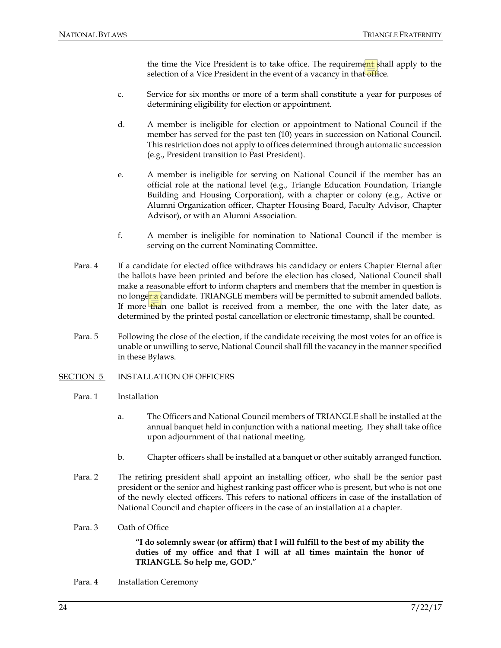the time the Vice President is to take office. The requirement shall apply to the selection of a Vice President in the event of a vacancy in that office.

- c. Service for six months or more of a term shall constitute a year for purposes of determining eligibility for election or appointment.
- d. A member is ineligible for election or appointment to National Council if the member has served for the past ten (10) years in succession on National Council. This restriction does not apply to offices determined through automatic succession (e.g., President transition to Past President).
- e. A member is ineligible for serving on National Council if the member has an official role at the national level (e.g., Triangle Education Foundation, Triangle Building and Housing Corporation), with a chapter or colony (e.g., Active or Alumni Organization officer, Chapter Housing Board, Faculty Advisor, Chapter Advisor), or with an Alumni Association.
- f. A member is ineligible for nomination to National Council if the member is serving on the current Nominating Committee.
- Para. 4 If a candidate for elected office withdraws his candidacy or enters Chapter Eternal after the ballots have been printed and before the election has closed, National Council shall make a reasonable effort to inform chapters and members that the member in question is no longer a candidate. TRIANGLE members will be permitted to submit amended ballots. If more than one ballot is received from a member, the one with the later date, as determined by the printed postal cancellation or electronic timestamp, shall be counted.
- Para. 5 Following the close of the election, if the candidate receiving the most votes for an office is unable or unwilling to serve, National Council shall fill the vacancy in the manner specified in these Bylaws.
- SECTION 5 INSTALLATION OF OFFICERS
	- Para. 1 Installation
		- a. The Officers and National Council members of TRIANGLE shall be installed at the annual banquet held in conjunction with a national meeting. They shall take office upon adjournment of that national meeting.
		- b. Chapter officers shall be installed at a banquet or other suitably arranged function.
	- Para. 2 The retiring president shall appoint an installing officer, who shall be the senior past president or the senior and highest ranking past officer who is present, but who is not one of the newly elected officers. This refers to national officers in case of the installation of National Council and chapter officers in the case of an installation at a chapter.
	- Para. 3 Oath of Office

**"I do solemnly swear (or affirm) that I will fulfill to the best of my ability the duties of my office and that I will at all times maintain the honor of TRIANGLE. So help me, GOD."**

Para. 4 Installation Ceremony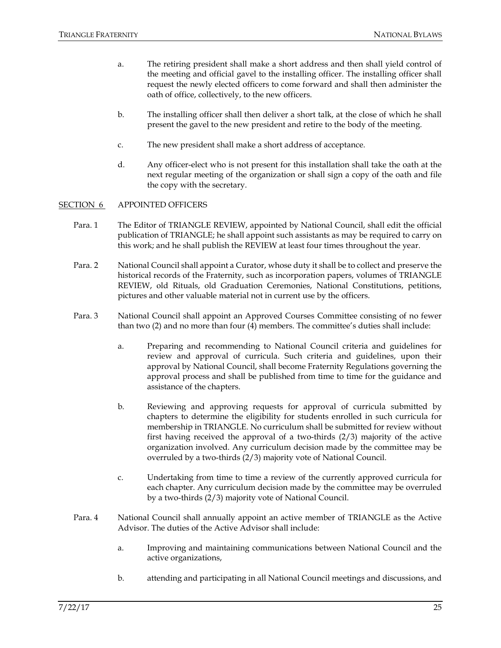- a. The retiring president shall make a short address and then shall yield control of the meeting and official gavel to the installing officer. The installing officer shall request the newly elected officers to come forward and shall then administer the oath of office, collectively, to the new officers.
- b. The installing officer shall then deliver a short talk, at the close of which he shall present the gavel to the new president and retire to the body of the meeting.
- c. The new president shall make a short address of acceptance.
- d. Any officer-elect who is not present for this installation shall take the oath at the next regular meeting of the organization or shall sign a copy of the oath and file the copy with the secretary.

#### SECTION 6 APPOINTED OFFICERS

- Para. 1 The Editor of TRIANGLE REVIEW, appointed by National Council, shall edit the official publication of TRIANGLE; he shall appoint such assistants as may be required to carry on this work; and he shall publish the REVIEW at least four times throughout the year.
- Para. 2 National Council shall appoint a Curator, whose duty it shall be to collect and preserve the historical records of the Fraternity, such as incorporation papers, volumes of TRIANGLE REVIEW, old Rituals, old Graduation Ceremonies, National Constitutions, petitions, pictures and other valuable material not in current use by the officers.
- Para. 3 National Council shall appoint an Approved Courses Committee consisting of no fewer than two (2) and no more than four (4) members. The committee's duties shall include:
	- a. Preparing and recommending to National Council criteria and guidelines for review and approval of curricula. Such criteria and guidelines, upon their approval by National Council, shall become Fraternity Regulations governing the approval process and shall be published from time to time for the guidance and assistance of the chapters.
	- b. Reviewing and approving requests for approval of curricula submitted by chapters to determine the eligibility for students enrolled in such curricula for membership in TRIANGLE. No curriculum shall be submitted for review without first having received the approval of a two-thirds (2/3) majority of the active organization involved. Any curriculum decision made by the committee may be overruled by a two-thirds (2/3) majority vote of National Council.
	- c. Undertaking from time to time a review of the currently approved curricula for each chapter. Any curriculum decision made by the committee may be overruled by a two-thirds (2/3) majority vote of National Council.
- Para. 4 National Council shall annually appoint an active member of TRIANGLE as the Active Advisor. The duties of the Active Advisor shall include:
	- a. Improving and maintaining communications between National Council and the active organizations,
	- b. attending and participating in all National Council meetings and discussions, and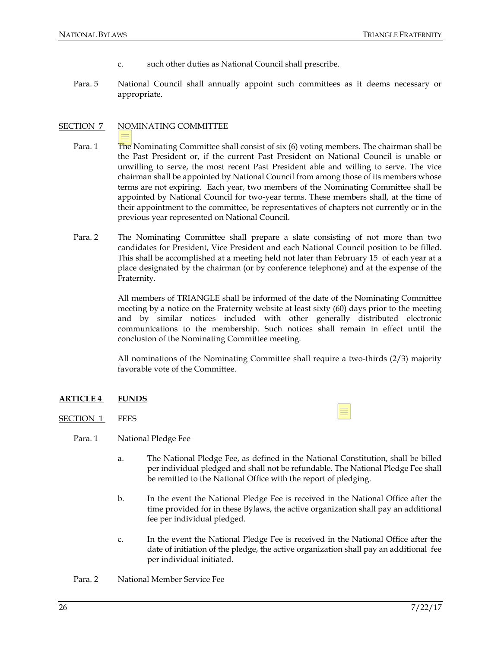- c. such other duties as National Council shall prescribe.
- Para. 5 National Council shall annually appoint such committees as it deems necessary or appropriate.

### SECTION 7 NOMINATING COMMITTEE

- Para. 1 The Nominating Committee shall consist of six (6) voting members. The chairman shall be the Past President or, if the current Past President on National Council is unable or unwilling to serve, the most recent Past President able and willing to serve. The vice chairman shall be appointed by National Council from among those of its members whose terms are not expiring. Each year, two members of the Nominating Committee shall be appointed by National Council for two-year terms. These members shall, at the time of their appointment to the committee, be representatives of chapters not currently or in the previous year represented on National Council.
- Para. 2 The Nominating Committee shall prepare a slate consisting of not more than two candidates for President, Vice President and each National Council position to be filled. This shall be accomplished at a meeting held not later than February 15 of each year at a place designated by the chairman (or by conference telephone) and at the expense of the Fraternity.

All members of TRIANGLE shall be informed of the date of the Nominating Committee meeting by a notice on the Fraternity website at least sixty (60) days prior to the meeting and by similar notices included with other generally distributed electronic communications to the membership. Such notices shall remain in effect until the conclusion of the Nominating Committee meeting.

All nominations of the Nominating Committee shall require a two-thirds (2/3) majority favorable vote of the Committee.

≣

### **ARTICLE 4 FUNDS**

- SECTION 1 FEES
	- Para. 1 National Pledge Fee
		- a. The National Pledge Fee, as defined in the National Constitution, shall be billed per individual pledged and shall not be refundable. The National Pledge Fee shall be remitted to the National Office with the report of pledging.
		- b. In the event the National Pledge Fee is received in the National Office after the time provided for in these Bylaws, the active organization shall pay an additional fee per individual pledged.
		- c. In the event the National Pledge Fee is received in the National Office after the date of initiation of the pledge, the active organization shall pay an additional fee per individual initiated.

Para. 2 National Member Service Fee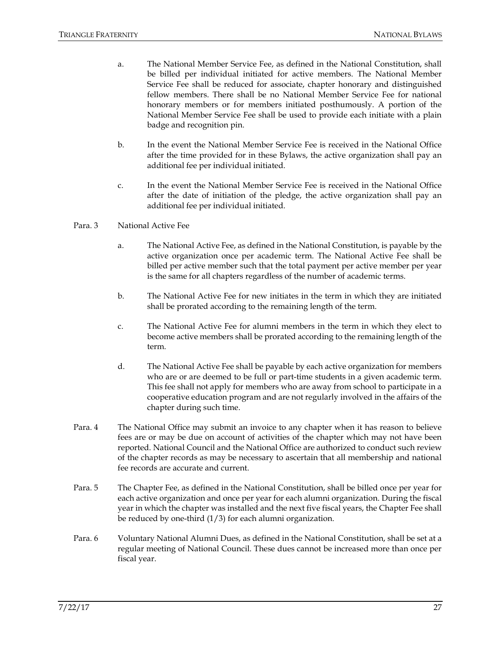- a. The National Member Service Fee, as defined in the National Constitution, shall be billed per individual initiated for active members. The National Member Service Fee shall be reduced for associate, chapter honorary and distinguished fellow members. There shall be no National Member Service Fee for national honorary members or for members initiated posthumously. A portion of the National Member Service Fee shall be used to provide each initiate with a plain badge and recognition pin.
- b. In the event the National Member Service Fee is received in the National Office after the time provided for in these Bylaws, the active organization shall pay an additional fee per individual initiated.
- c. In the event the National Member Service Fee is received in the National Office after the date of initiation of the pledge, the active organization shall pay an additional fee per individual initiated.

#### Para. 3 National Active Fee

- a. The National Active Fee, as defined in the National Constitution, is payable by the active organization once per academic term. The National Active Fee shall be billed per active member such that the total payment per active member per year is the same for all chapters regardless of the number of academic terms.
- b. The National Active Fee for new initiates in the term in which they are initiated shall be prorated according to the remaining length of the term.
- c. The National Active Fee for alumni members in the term in which they elect to become active members shall be prorated according to the remaining length of the term.
- d. The National Active Fee shall be payable by each active organization for members who are or are deemed to be full or part-time students in a given academic term. This fee shall not apply for members who are away from school to participate in a cooperative education program and are not regularly involved in the affairs of the chapter during such time.
- Para. 4 The National Office may submit an invoice to any chapter when it has reason to believe fees are or may be due on account of activities of the chapter which may not have been reported. National Council and the National Office are authorized to conduct such review of the chapter records as may be necessary to ascertain that all membership and national fee records are accurate and current.
- Para. 5 The Chapter Fee, as defined in the National Constitution, shall be billed once per year for each active organization and once per year for each alumni organization. During the fiscal year in which the chapter was installed and the next five fiscal years, the Chapter Fee shall be reduced by one-third (1/3) for each alumni organization.
- Para. 6 Voluntary National Alumni Dues, as defined in the National Constitution, shall be set at a regular meeting of National Council. These dues cannot be increased more than once per fiscal year.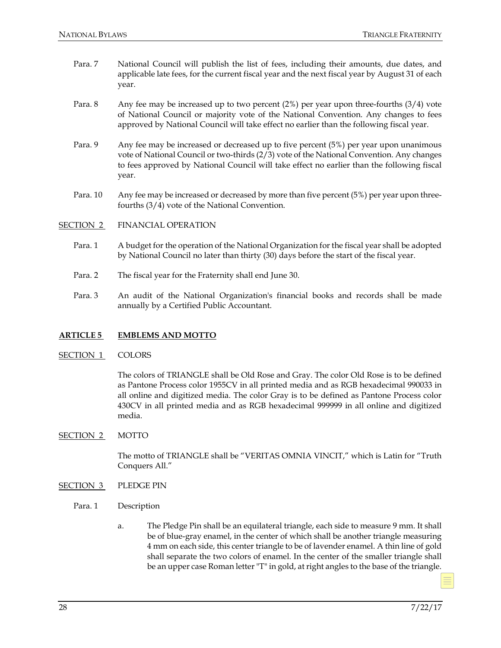- Para. 7 National Council will publish the list of fees, including their amounts, due dates, and applicable late fees, for the current fiscal year and the next fiscal year by August 31 of each year.
- Para. 8 Any fee may be increased up to two percent  $(2%)$  per year upon three-fourths  $(3/4)$  vote of National Council or majority vote of the National Convention. Any changes to fees approved by National Council will take effect no earlier than the following fiscal year.
- Para. 9 Any fee may be increased or decreased up to five percent (5%) per year upon unanimous vote of National Council or two-thirds (2/3) vote of the National Convention. Any changes to fees approved by National Council will take effect no earlier than the following fiscal year.
- Para. 10 Any fee may be increased or decreased by more than five percent (5%) per year upon threefourths (3/4) vote of the National Convention.
- SECTION 2 FINANCIAL OPERATION
	- Para. 1 A budget for the operation of the National Organization for the fiscal year shall be adopted by National Council no later than thirty (30) days before the start of the fiscal year.
	- Para. 2 The fiscal year for the Fraternity shall end June 30.
	- Para. 3 An audit of the National Organization's financial books and records shall be made annually by a Certified Public Accountant.

### **ARTICLE 5 EMBLEMS AND MOTTO**

### SECTION 1 COLORS

The colors of TRIANGLE shall be Old Rose and Gray. The color Old Rose is to be defined as Pantone Process color 1955CV in all printed media and as RGB hexadecimal 990033 in all online and digitized media. The color Gray is to be defined as Pantone Process color 430CV in all printed media and as RGB hexadecimal 999999 in all online and digitized media.

### SECTION 2 MOTTO

The motto of TRIANGLE shall be "VERITAS OMNIA VINCIT," which is Latin for "Truth Conquers All."

### SECTION 3 PLEDGE PIN

- Para. 1 Description
	- a. The Pledge Pin shall be an equilateral triangle, each side to measure 9 mm. It shall be of blue-gray enamel, in the center of which shall be another triangle measuring 4 mm on each side, this center triangle to be of lavender enamel. A thin line of gold shall separate the two colors of enamel. In the center of the smaller triangle shall be an upper case Roman letter "T" in gold, at right angles to the base of the triangle.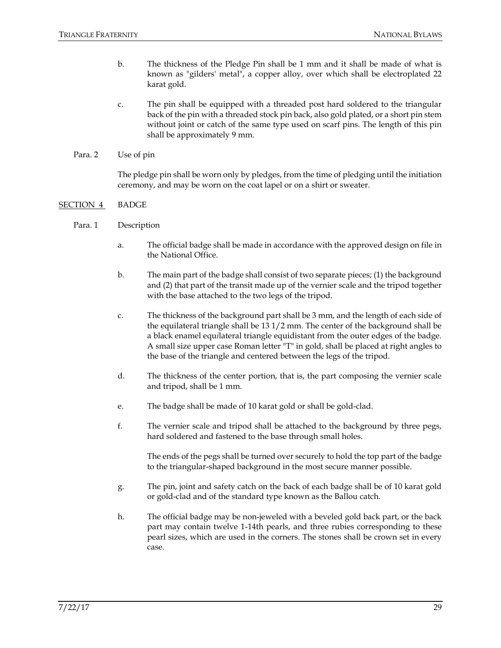- b. The thickness of the Pledge Pin shall be 1 mm and it shall be made of what is known as "gilders' metal", a copper alloy, over which shall be electroplated 22 karat gold.
- c. The pin shall be equipped with a threaded post hard soldered to the triangular back of the pin with a threaded stock pin back, also gold plated, or a short pin stem without joint or catch of the same type used on scarf pins. The length of this pin shall be approximately 9 mm.
- Para. 2 Use of pin

The pledge pin shall be worn only by pledges, from the time of pledging until the initiation ceremony, and may be worn on the coat lapel or on a shirt or sweater.

### SECTION 4 BADGE

- Para. 1 Description
	- a. The official badge shall be made in accordance with the approved design on file in the National Office.
	- b. The main part of the badge shall consist of two separate pieces; (1) the background and (2) that part of the transit made up of the vernier scale and the tripod together with the base attached to the two legs of the tripod.
	- c. The thickness of the background part shall be 3 mm, and the length of each side of the equilateral triangle shall be 13 1/2 mm. The center of the background shall be a black enamel equ*i*lateral triangle equidistant from the outer edges of the badge. A small size upper case Roman letter "T" in gold, shall be placed at right angles to the base of the triangle and centered between the legs of the tripod.
	- d. The thickness of the center portion, that is, the part composing the vernier scale and tripod, shall be 1 mm.
	- e. The badge shall be made of 10 karat gold or shall be gold-clad.
	- f. The vernier scale and tripod shall be attached to the background by three pegs, hard soldered and fastened to the base through small holes.

The ends of the pegs shall be turned over securely to hold the top part of the badge to the triangular-shaped background in the most secure manner possible.

- g. The pin, joint and safety catch on the back of each badge shall be of 10 karat gold or gold-clad and of the standard type known as the Ballou catch.
- h. The official badge may be non-jeweled with a beveled gold back part, or the back part may contain twelve 1-14th pearls, and three rubies corresponding to these pearl sizes, which are used in the corners. The stones shall be crown set in every case.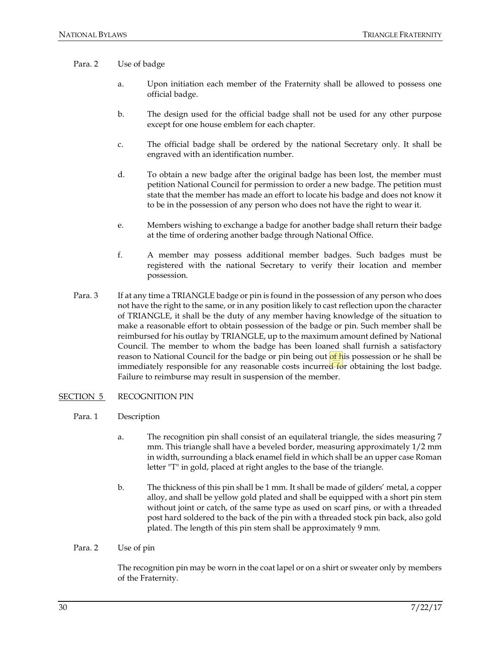#### Para. 2 Use of badge

- a. Upon initiation each member of the Fraternity shall be allowed to possess one official badge.
- b. The design used for the official badge shall not be used for any other purpose except for one house emblem for each chapter.
- c. The official badge shall be ordered by the national Secretary only. It shall be engraved with an identification number.
- d. To obtain a new badge after the original badge has been lost, the member must petition National Council for permission to order a new badge. The petition must state that the member has made an effort to locate his badge and does not know it to be in the possession of any person who does not have the right to wear it.
- e. Members wishing to exchange a badge for another badge shall return their badge at the time of ordering another badge through National Office.
- f. A member may possess additional member badges. Such badges must be registered with the national Secretary to verify their location and member possession.
- Para. 3 If at any time a TRIANGLE badge or pin is found in the possession of any person who does not have the right to the same, or in any position likely to cast reflection upon the character of TRIANGLE, it shall be the duty of any member having knowledge of the situation to make a reasonable effort to obtain possession of the badge or pin. Such member shall be reimbursed for his outlay by TRIANGLE, up to the maximum amount defined by National Council. The member to whom the badge has been loaned shall furnish a satisfactory reason to National Council for the badge or pin being out of his possession or he shall be immediately responsible for any reasonable costs incurred for obtaining the lost badge. Failure to reimburse may result in suspension of the member.

#### SECTION 5 RECOGNITION PIN

- Para. 1 Description
	- a. The recognition pin shall consist of an equilateral triangle, the sides measuring 7 mm. This triangle shall have a beveled border, measuring approximately 1/2 mm in width, surrounding a black enamel field in which shall be an upper case Roman letter "T" in gold, placed at right angles to the base of the triangle.
	- b. The thickness of this pin shall be 1 mm. It shall be made of gilders' metal, a copper alloy, and shall be yellow gold plated and shall be equipped with a short pin stem without joint or catch, of the same type as used on scarf pins, or with a threaded post hard soldered to the back of the pin with a threaded stock pin back, also gold plated. The length of this pin stem shall be approximately 9 mm.

#### Para. 2 Use of pin

The recognition pin may be worn in the coat lapel or on a shirt or sweater only by members of the Fraternity.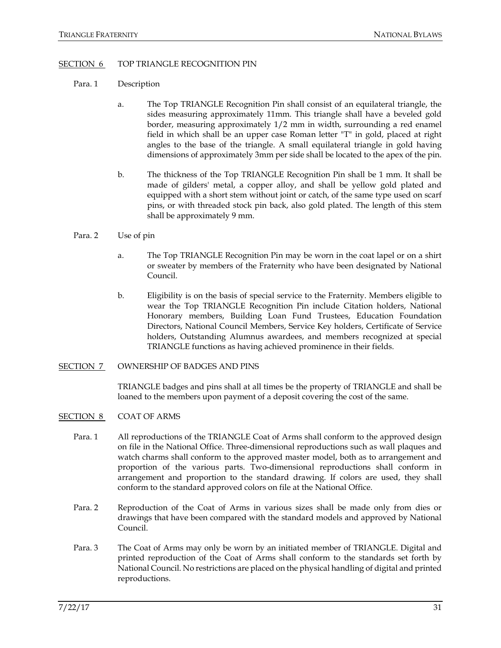#### SECTION 6 TOP TRIANGLE RECOGNITION PIN

- Para. 1 Description
	- a. The Top TRIANGLE Recognition Pin shall consist of an equilateral triangle, the sides measuring approximately 11mm. This triangle shall have a beveled gold border, measuring approximately 1/2 mm in width, surrounding a red enamel field in which shall be an upper case Roman letter "T" in gold, placed at right angles to the base of the triangle. A small equilateral triangle in gold having dimensions of approximately 3mm per side shall be located to the apex of the pin.
	- b. The thickness of the Top TRIANGLE Recognition Pin shall be 1 mm. It shall be made of gilders' metal, a copper alloy, and shall be yellow gold plated and equipped with a short stem without joint or catch, of the same type used on scarf pins, or with threaded stock pin back, also gold plated. The length of this stem shall be approximately 9 mm.

#### Para. 2 Use of pin

- a. The Top TRIANGLE Recognition Pin may be worn in the coat lapel or on a shirt or sweater by members of the Fraternity who have been designated by National Council.
- b. Eligibility is on the basis of special service to the Fraternity. Members eligible to wear the Top TRIANGLE Recognition Pin include Citation holders, National Honorary members, Building Loan Fund Trustees, Education Foundation Directors, National Council Members, Service Key holders, Certificate of Service holders, Outstanding Alumnus awardees, and members recognized at special TRIANGLE functions as having achieved prominence in their fields.

#### SECTION 7 OWNERSHIP OF BADGES AND PINS

TRIANGLE badges and pins shall at all times be the property of TRIANGLE and shall be loaned to the members upon payment of a deposit covering the cost of the same.

- SECTION 8 COAT OF ARMS
	- Para. 1 All reproductions of the TRIANGLE Coat of Arms shall conform to the approved design on file in the National Office. Three-dimensional reproductions such as wall plaques and watch charms shall conform to the approved master model, both as to arrangement and proportion of the various parts. Two-dimensional reproductions shall conform in arrangement and proportion to the standard drawing. If colors are used, they shall conform to the standard approved colors on file at the National Office.
	- Para. 2 Reproduction of the Coat of Arms in various sizes shall be made only from dies or drawings that have been compared with the standard models and approved by National Council.
	- Para. 3 The Coat of Arms may only be worn by an initiated member of TRIANGLE. Digital and printed reproduction of the Coat of Arms shall conform to the standards set forth by National Council. No restrictions are placed on the physical handling of digital and printed reproductions.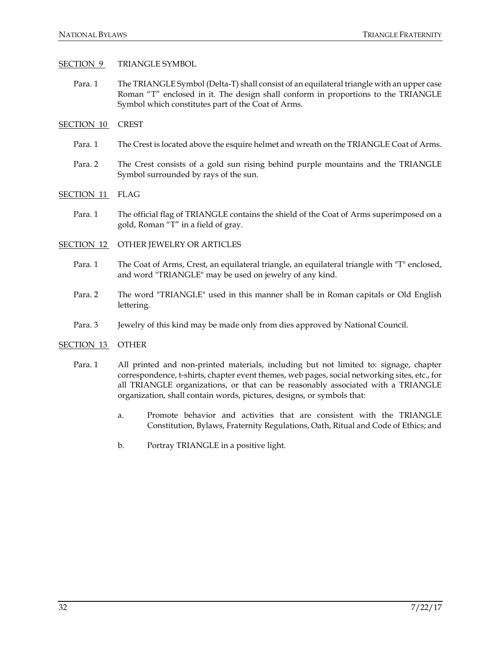#### SECTION 9 TRIANGLE SYMBOL

- Para. 1 The TRIANGLE Symbol (Delta-T) shall consist of an equilateral triangle with an upper case Roman "T" enclosed in it. The design shall conform in proportions to the TRIANGLE Symbol which constitutes part of the Coat of Arms.
- SECTION 10 CREST
	- Para. 1 The Crest is located above the esquire helmet and wreath on the TRIANGLE Coat of Arms.
	- Para. 2 The Crest consists of a gold sun rising behind purple mountains and the TRIANGLE Symbol surrounded by rays of the sun.
- SECTION 11 FLAG
	- Para. 1 The official flag of TRIANGLE contains the shield of the Coat of Arms superimposed on a gold, Roman "T" in a field of gray.
- SECTION 12 OTHER JEWELRY OR ARTICLES
	- Para. 1 The Coat of Arms, Crest, an equilateral triangle, an equilateral triangle with "T" enclosed, and word "TRIANGLE" may be used on jewelry of any kind.
	- Para. 2 The word "TRIANGLE" used in this manner shall be in Roman capitals or Old English lettering.
	- Para. 3 Jewelry of this kind may be made only from dies approved by National Council.

#### SECTION 13 OTHER

- Para. 1 All printed and non-printed materials, including but not limited to: signage, chapter correspondence, t-shirts, chapter event themes, web pages, social networking sites, etc., for all TRIANGLE organizations, or that can be reasonably associated with a TRIANGLE organization, shall contain words, pictures, designs, or symbols that:
	- a. Promote behavior and activities that are consistent with the TRIANGLE Constitution, Bylaws, Fraternity Regulations, Oath, Ritual and Code of Ethics; and
	- b. Portray TRIANGLE in a positive light.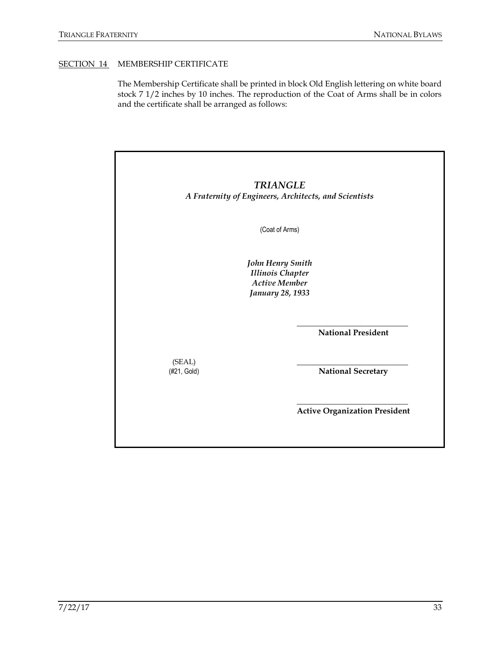### SECTION 14 MEMBERSHIP CERTIFICATE

The Membership Certificate shall be printed in block Old English lettering on white board stock 7 1/2 inches by 10 inches. The reproduction of the Coat of Arms shall be in colors and the certificate shall be arranged as follows:

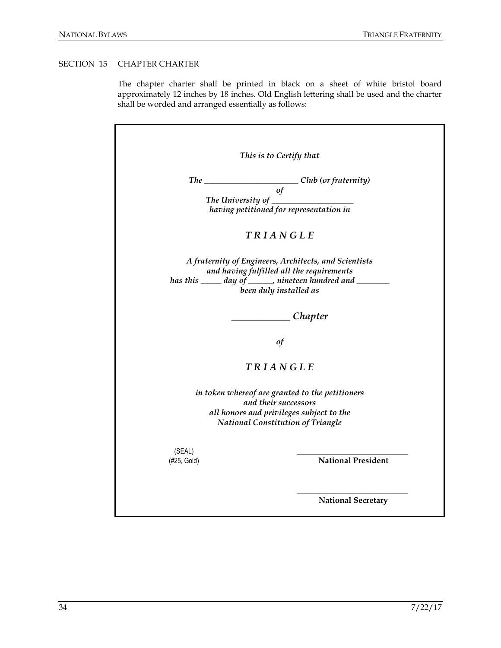### SECTION 15 CHAPTER CHARTER

The chapter charter shall be printed in black on a sheet of white bristol board approximately 12 inches by 18 inches. Old English lettering shall be used and the charter shall be worded and arranged essentially as follows:

|                                                                                      | This is to Certify that   |
|--------------------------------------------------------------------------------------|---------------------------|
| <b>The</b>                                                                           | Club (or fraternity)      |
| of                                                                                   |                           |
| The University of                                                                    |                           |
| having petitioned for representation in                                              |                           |
| TRIANGLE                                                                             |                           |
| A fraternity of Engineers, Architects, and Scientists                                |                           |
| and having fulfilled all the requirements                                            |                           |
| has this _____ day of ______, nineteen hundred and _______<br>been duly installed as |                           |
|                                                                                      |                           |
|                                                                                      | Chapter                   |
| of                                                                                   |                           |
| TRIANGLE                                                                             |                           |
| in token whereof are granted to the petitioners<br>and their successors              |                           |
| all honors and privileges subject to the                                             |                           |
| <b>National Constitution of Triangle</b>                                             |                           |
| (SEAL)                                                                               |                           |
| (#25, Gold)                                                                          | <b>National President</b> |
|                                                                                      |                           |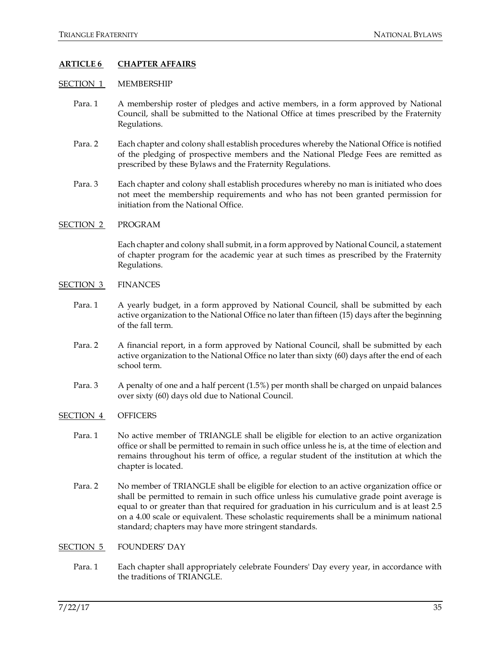### **ARTICLE 6 CHAPTER AFFAIRS**

#### SECTION 1 MEMBERSHIP

- Para. 1 A membership roster of pledges and active members, in a form approved by National Council, shall be submitted to the National Office at times prescribed by the Fraternity Regulations.
- Para. 2 Each chapter and colony shall establish procedures whereby the National Office is notified of the pledging of prospective members and the National Pledge Fees are remitted as prescribed by these Bylaws and the Fraternity Regulations.
- Para. 3 Each chapter and colony shall establish procedures whereby no man is initiated who does not meet the membership requirements and who has not been granted permission for initiation from the National Office.

#### SECTION 2 PROGRAM

Each chapter and colony shall submit, in a form approved by National Council, a statement of chapter program for the academic year at such times as prescribed by the Fraternity Regulations.

- SECTION 3 FINANCES
	- Para. 1 A yearly budget, in a form approved by National Council, shall be submitted by each active organization to the National Office no later than fifteen (15) days after the beginning of the fall term.
	- Para. 2 A financial report, in a form approved by National Council, shall be submitted by each active organization to the National Office no later than sixty (60) days after the end of each school term.
	- Para. 3 A penalty of one and a half percent (1.5%) per month shall be charged on unpaid balances over sixty (60) days old due to National Council.

#### SECTION 4 OFFICERS

- Para. 1 No active member of TRIANGLE shall be eligible for election to an active organization office or shall be permitted to remain in such office unless he is, at the time of election and remains throughout his term of office, a regular student of the institution at which the chapter is located.
- Para. 2 No member of TRIANGLE shall be eligible for election to an active organization office or shall be permitted to remain in such office unless his cumulative grade point average is equal to or greater than that required for graduation in his curriculum and is at least 2.5 on a 4.00 scale or equivalent. These scholastic requirements shall be a minimum national standard; chapters may have more stringent standards.

#### SECTION 5 FOUNDERS' DAY

Para. 1 Each chapter shall appropriately celebrate Founders' Day every year, in accordance with the traditions of TRIANGLE.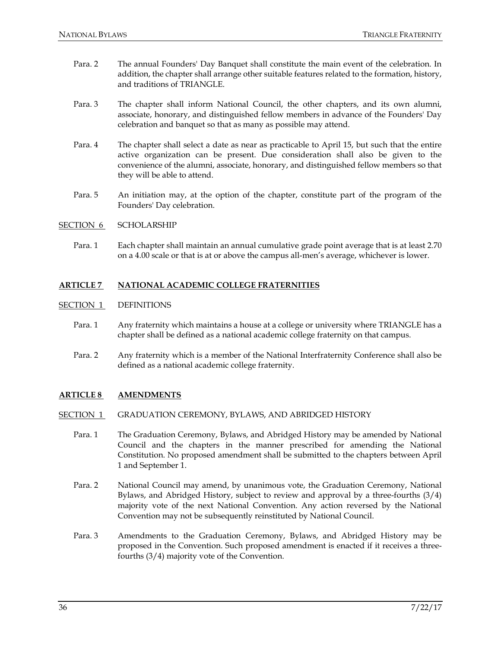- Para. 2 The annual Founders' Day Banquet shall constitute the main event of the celebration. In addition, the chapter shall arrange other suitable features related to the formation, history, and traditions of TRIANGLE.
- Para. 3 The chapter shall inform National Council, the other chapters, and its own alumni, associate, honorary, and distinguished fellow members in advance of the Founders' Day celebration and banquet so that as many as possible may attend.
- Para. 4 The chapter shall select a date as near as practicable to April 15, but such that the entire active organization can be present. Due consideration shall also be given to the convenience of the alumni, associate, honorary, and distinguished fellow members so that they will be able to attend.
- Para. 5 An initiation may, at the option of the chapter, constitute part of the program of the Founders' Day celebration.

#### SECTION 6 SCHOLARSHIP

Para. 1 Each chapter shall maintain an annual cumulative grade point average that is at least 2.70 on a 4.00 scale or that is at or above the campus all-men's average, whichever is lower.

#### **ARTICLE 7 NATIONAL ACADEMIC COLLEGE FRATERNITIES**

#### SECTION 1 DEFINITIONS

- Para. 1 Any fraternity which maintains a house at a college or university where TRIANGLE has a chapter shall be defined as a national academic college fraternity on that campus.
- Para. 2 Any fraternity which is a member of the National Interfraternity Conference shall also be defined as a national academic college fraternity.

### **ARTICLE 8 AMENDMENTS**

#### SECTION 1 GRADUATION CEREMONY, BYLAWS, AND ABRIDGED HISTORY

- Para. 1 The Graduation Ceremony, Bylaws, and Abridged History may be amended by National Council and the chapters in the manner prescribed for amending the National Constitution. No proposed amendment shall be submitted to the chapters between April 1 and September 1.
- Para. 2 National Council may amend, by unanimous vote, the Graduation Ceremony, National Bylaws, and Abridged History, subject to review and approval by a three-fourths (3/4) majority vote of the next National Convention. Any action reversed by the National Convention may not be subsequently reinstituted by National Council.
- Para. 3 Amendments to the Graduation Ceremony, Bylaws, and Abridged History may be proposed in the Convention. Such proposed amendment is enacted if it receives a threefourths (3/4) majority vote of the Convention.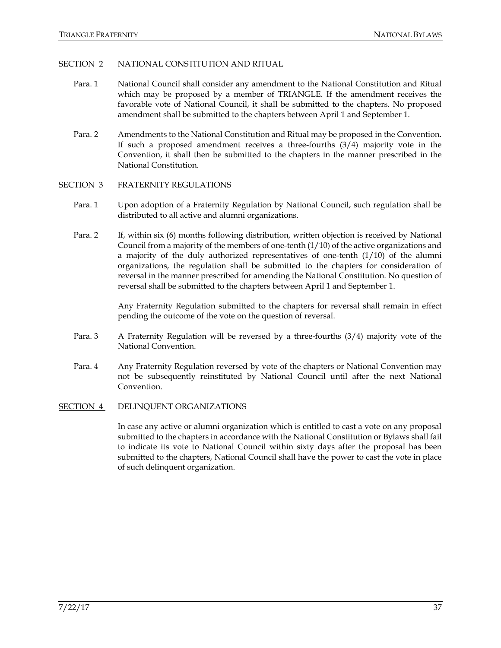### SECTION 2 NATIONAL CONSTITUTION AND RITUAL

- Para. 1 National Council shall consider any amendment to the National Constitution and Ritual which may be proposed by a member of TRIANGLE. If the amendment receives the favorable vote of National Council, it shall be submitted to the chapters. No proposed amendment shall be submitted to the chapters between April 1 and September 1.
- Para. 2 Amendments to the National Constitution and Ritual may be proposed in the Convention. If such a proposed amendment receives a three-fourths (3/4) majority vote in the Convention, it shall then be submitted to the chapters in the manner prescribed in the National Constitution.
- SECTION 3 FRATERNITY REGULATIONS
	- Para. 1 Upon adoption of a Fraternity Regulation by National Council, such regulation shall be distributed to all active and alumni organizations.
	- Para. 2 If, within six (6) months following distribution, written objection is received by National Council from a majority of the members of one-tenth (1/10) of the active organizations and a majority of the duly authorized representatives of one-tenth  $(1/10)$  of the alumni organizations, the regulation shall be submitted to the chapters for consideration of reversal in the manner prescribed for amending the National Constitution. No question of reversal shall be submitted to the chapters between April 1 and September 1.

Any Fraternity Regulation submitted to the chapters for reversal shall remain in effect pending the outcome of the vote on the question of reversal.

- Para. 3 A Fraternity Regulation will be reversed by a three-fourths (3/4) majority vote of the National Convention.
- Para. 4 Any Fraternity Regulation reversed by vote of the chapters or National Convention may not be subsequently reinstituted by National Council until after the next National Convention.

#### SECTION 4 DELINQUENT ORGANIZATIONS

In case any active or alumni organization which is entitled to cast a vote on any proposal submitted to the chapters in accordance with the National Constitution or Bylaws shall fail to indicate its vote to National Council within sixty days after the proposal has been submitted to the chapters, National Council shall have the power to cast the vote in place of such delinquent organization.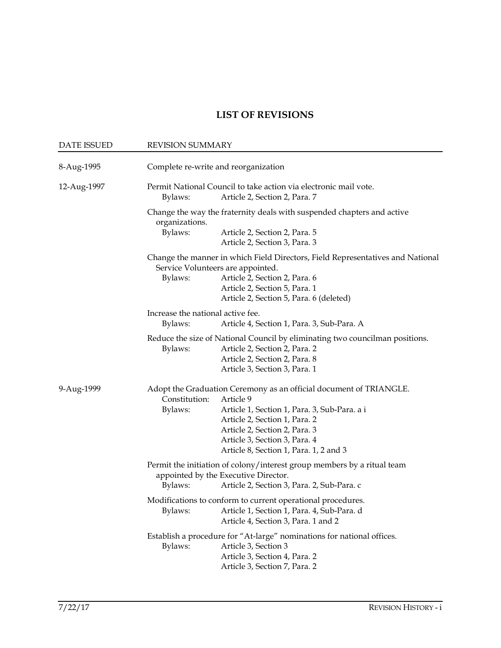# **LIST OF REVISIONS**

| <b>DATE ISSUED</b> | <b>REVISION SUMMARY</b>                                                                                                                                                                                                                                                                                  |  |
|--------------------|----------------------------------------------------------------------------------------------------------------------------------------------------------------------------------------------------------------------------------------------------------------------------------------------------------|--|
| 8-Aug-1995         | Complete re-write and reorganization                                                                                                                                                                                                                                                                     |  |
| 12-Aug-1997        | Permit National Council to take action via electronic mail vote.<br>Article 2, Section 2, Para. 7<br>Bylaws:                                                                                                                                                                                             |  |
|                    | Change the way the fraternity deals with suspended chapters and active<br>organizations.<br>Bylaws:<br>Article 2, Section 2, Para. 5<br>Article 2, Section 3, Para. 3                                                                                                                                    |  |
|                    | Change the manner in which Field Directors, Field Representatives and National<br>Service Volunteers are appointed.<br>Article 2, Section 2, Para. 6<br>Bylaws:<br>Article 2, Section 5, Para. 1<br>Article 2, Section 5, Para. 6 (deleted)                                                              |  |
|                    | Increase the national active fee.<br>Bylaws:<br>Article 4, Section 1, Para. 3, Sub-Para. A                                                                                                                                                                                                               |  |
|                    | Reduce the size of National Council by eliminating two councilman positions.<br>Bylaws:<br>Article 2, Section 2, Para. 2<br>Article 2, Section 2, Para. 8<br>Article 3, Section 3, Para. 1                                                                                                               |  |
| 9-Aug-1999         | Adopt the Graduation Ceremony as an official document of TRIANGLE.<br>Constitution:<br>Article 9<br>Bylaws:<br>Article 1, Section 1, Para. 3, Sub-Para. a i<br>Article 2, Section 1, Para. 2<br>Article 2, Section 2, Para. 3<br>Article 3, Section 3, Para. 4<br>Article 8, Section 1, Para. 1, 2 and 3 |  |
|                    | Permit the initiation of colony/interest group members by a ritual team<br>appointed by the Executive Director.<br>Bylaws:<br>Article 2, Section 3, Para. 2, Sub-Para. c                                                                                                                                 |  |
|                    | Modifications to conform to current operational procedures.<br>Bylaws:<br>Article 1, Section 1, Para. 4, Sub-Para. d<br>Article 4, Section 3, Para. 1 and 2                                                                                                                                              |  |
|                    | Establish a procedure for "At-large" nominations for national offices.<br>Bylaws:<br>Article 3, Section 3<br>Article 3, Section 4, Para. 2<br>Article 3, Section 7, Para. 2                                                                                                                              |  |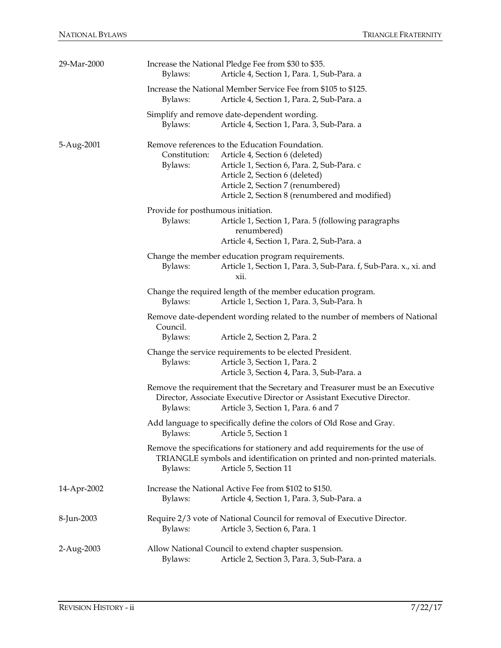| 29-Mar-2000 | Increase the National Pledge Fee from \$30 to \$35.<br>Article 4, Section 1, Para. 1, Sub-Para. a<br>Bylaws:                                                                                                                                                                        |  |  |
|-------------|-------------------------------------------------------------------------------------------------------------------------------------------------------------------------------------------------------------------------------------------------------------------------------------|--|--|
|             | Increase the National Member Service Fee from \$105 to \$125.<br>Article 4, Section 1, Para. 2, Sub-Para. a<br>Bylaws:                                                                                                                                                              |  |  |
|             | Simplify and remove date-dependent wording.<br>Article 4, Section 1, Para. 3, Sub-Para. a<br>Bylaws:                                                                                                                                                                                |  |  |
| 5-Aug-2001  | Remove references to the Education Foundation.<br>Constitution:<br>Article 4, Section 6 (deleted)<br>Bylaws:<br>Article 1, Section 6, Para. 2, Sub-Para. c<br>Article 2, Section 6 (deleted)<br>Article 2, Section 7 (renumbered)<br>Article 2, Section 8 (renumbered and modified) |  |  |
|             | Provide for posthumous initiation.<br>Bylaws:<br>Article 1, Section 1, Para. 5 (following paragraphs<br>renumbered)<br>Article 4, Section 1, Para. 2, Sub-Para. a                                                                                                                   |  |  |
|             | Change the member education program requirements.<br>Article 1, Section 1, Para. 3, Sub-Para. f, Sub-Para. x., xi. and<br>Bylaws:<br>xii.                                                                                                                                           |  |  |
|             | Change the required length of the member education program.<br>Bylaws:<br>Article 1, Section 1, Para. 3, Sub-Para. h                                                                                                                                                                |  |  |
|             | Remove date-dependent wording related to the number of members of National<br>Council.<br>Article 2, Section 2, Para. 2<br>Bylaws:                                                                                                                                                  |  |  |
|             | Change the service requirements to be elected President.<br>Bylaws:<br>Article 3, Section 1, Para. 2<br>Article 3, Section 4, Para. 3, Sub-Para. a                                                                                                                                  |  |  |
|             | Remove the requirement that the Secretary and Treasurer must be an Executive<br>Director, Associate Executive Director or Assistant Executive Director.<br>Article 3, Section 1, Para. 6 and 7<br>Bylaws:                                                                           |  |  |
|             | Add language to specifically define the colors of Old Rose and Gray.<br>Article 5, Section 1<br>Bylaws:                                                                                                                                                                             |  |  |
|             | Remove the specifications for stationery and add requirements for the use of<br>TRIANGLE symbols and identification on printed and non-printed materials.<br>Article 5, Section 11<br>Bylaws:                                                                                       |  |  |
| 14-Apr-2002 | Increase the National Active Fee from \$102 to \$150.<br>Article 4, Section 1, Para. 3, Sub-Para. a<br>Bylaws:                                                                                                                                                                      |  |  |
| 8-Jun-2003  | Require 2/3 vote of National Council for removal of Executive Director.<br>Article 3, Section 6, Para. 1<br>Bylaws:                                                                                                                                                                 |  |  |
| 2-Aug-2003  | Allow National Council to extend chapter suspension.<br>Article 2, Section 3, Para. 3, Sub-Para. a<br>Bylaws:                                                                                                                                                                       |  |  |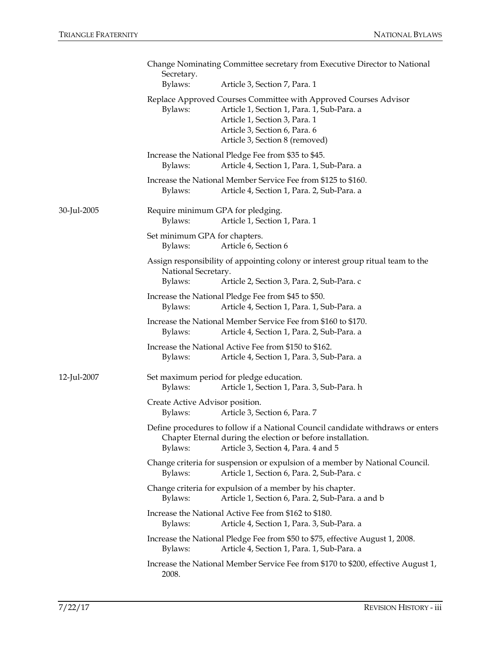|             | Change Nominating Committee secretary from Executive Director to National<br>Secretary.                                                                                                                                       |  |
|-------------|-------------------------------------------------------------------------------------------------------------------------------------------------------------------------------------------------------------------------------|--|
|             | Bylaws:<br>Article 3, Section 7, Para. 1                                                                                                                                                                                      |  |
|             | Replace Approved Courses Committee with Approved Courses Advisor<br>Article 1, Section 1, Para. 1, Sub-Para. a<br>Bylaws:<br>Article 1, Section 3, Para. 1<br>Article 3, Section 6, Para. 6<br>Article 3, Section 8 (removed) |  |
|             | Increase the National Pledge Fee from \$35 to \$45.<br>Article 4, Section 1, Para. 1, Sub-Para. a<br>Bylaws:                                                                                                                  |  |
|             | Increase the National Member Service Fee from \$125 to \$160.<br>Bylaws:<br>Article 4, Section 1, Para. 2, Sub-Para. a                                                                                                        |  |
| 30-Jul-2005 | Require minimum GPA for pledging.<br>Article 1, Section 1, Para. 1<br>Bylaws:                                                                                                                                                 |  |
|             | Set minimum GPA for chapters.<br>Article 6, Section 6<br>Bylaws:                                                                                                                                                              |  |
|             | Assign responsibility of appointing colony or interest group ritual team to the<br>National Secretary.<br>Bylaws:<br>Article 2, Section 3, Para. 2, Sub-Para. c                                                               |  |
|             | Increase the National Pledge Fee from \$45 to \$50.<br>Bylaws:<br>Article 4, Section 1, Para. 1, Sub-Para. a                                                                                                                  |  |
|             | Increase the National Member Service Fee from \$160 to \$170.<br>Bylaws:<br>Article 4, Section 1, Para. 2, Sub-Para. a                                                                                                        |  |
|             | Increase the National Active Fee from \$150 to \$162.<br>Article 4, Section 1, Para. 3, Sub-Para. a<br>Bylaws:                                                                                                                |  |
| 12-Jul-2007 | Set maximum period for pledge education.<br>Article 1, Section 1, Para. 3, Sub-Para. h<br>Bylaws:                                                                                                                             |  |
|             | Create Active Advisor position.<br>Bylaws:<br>Article 3, Section 6, Para. 7                                                                                                                                                   |  |
|             | Define procedures to follow if a National Council candidate withdraws or enters<br>Chapter Eternal during the election or before installation.<br>Bylaws:<br>Article 3, Section 4, Para. 4 and 5                              |  |
|             | Change criteria for suspension or expulsion of a member by National Council.<br>Bylaws:<br>Article 1, Section 6, Para. 2, Sub-Para. c                                                                                         |  |
|             | Change criteria for expulsion of a member by his chapter.<br>Bylaws:<br>Article 1, Section 6, Para. 2, Sub-Para. a and b                                                                                                      |  |
|             | Increase the National Active Fee from \$162 to \$180.<br>Article 4, Section 1, Para. 3, Sub-Para. a<br>Bylaws:                                                                                                                |  |
|             | Increase the National Pledge Fee from \$50 to \$75, effective August 1, 2008.<br>Article 4, Section 1, Para. 1, Sub-Para. a<br>Bylaws:                                                                                        |  |
|             | Increase the National Member Service Fee from \$170 to \$200, effective August 1,<br>2008.                                                                                                                                    |  |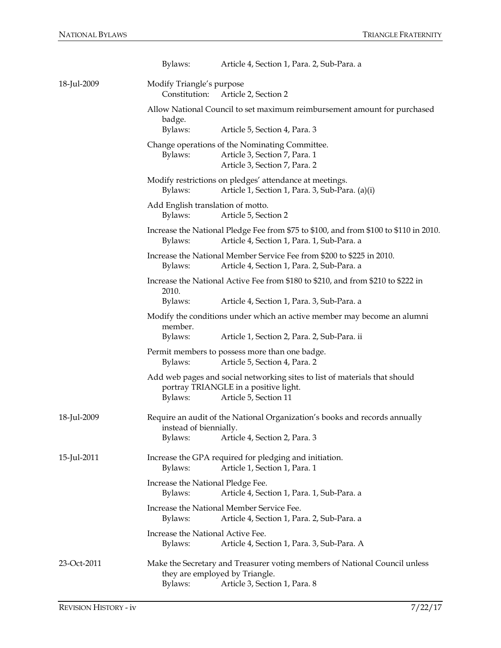|             | Bylaws:                                                                                                                                          | Article 4, Section 1, Para. 2, Sub-Para. a                                                                                                    |
|-------------|--------------------------------------------------------------------------------------------------------------------------------------------------|-----------------------------------------------------------------------------------------------------------------------------------------------|
| 18-Jul-2009 | Modify Triangle's purpose<br>Constitution:                                                                                                       | Article 2, Section 2                                                                                                                          |
|             | badge.                                                                                                                                           | Allow National Council to set maximum reimbursement amount for purchased                                                                      |
|             | Bylaws:                                                                                                                                          | Article 5, Section 4, Para. 3                                                                                                                 |
|             | Bylaws:                                                                                                                                          | Change operations of the Nominating Committee.<br>Article 3, Section 7, Para. 1<br>Article 3, Section 7, Para. 2                              |
|             | Bylaws:                                                                                                                                          | Modify restrictions on pledges' attendance at meetings.<br>Article 1, Section 1, Para. 3, Sub-Para. (a)(i)                                    |
|             | Add English translation of motto.<br>Bylaws:                                                                                                     | Article 5, Section 2                                                                                                                          |
|             | Bylaws:                                                                                                                                          | Increase the National Pledge Fee from \$75 to \$100, and from \$100 to \$110 in 2010.<br>Article 4, Section 1, Para. 1, Sub-Para. a           |
|             | Bylaws:                                                                                                                                          | Increase the National Member Service Fee from \$200 to \$225 in 2010.<br>Article 4, Section 1, Para. 2, Sub-Para. a                           |
|             | 2010.                                                                                                                                            | Increase the National Active Fee from \$180 to \$210, and from \$210 to \$222 in                                                              |
|             | Bylaws:                                                                                                                                          | Article 4, Section 1, Para. 3, Sub-Para. a                                                                                                    |
|             | member.                                                                                                                                          | Modify the conditions under which an active member may become an alumni                                                                       |
|             | Bylaws:                                                                                                                                          | Article 1, Section 2, Para. 2, Sub-Para. ii                                                                                                   |
|             | Bylaws:                                                                                                                                          | Permit members to possess more than one badge.<br>Article 5, Section 4, Para. 2                                                               |
|             | Bylaws:                                                                                                                                          | Add web pages and social networking sites to list of materials that should<br>portray TRIANGLE in a positive light.<br>Article 5, Section 11  |
| 18-Jul-2009 | Require an audit of the National Organization's books and records annually<br>instead of biennially.<br>Article 4, Section 2, Para. 3<br>Bylaws: |                                                                                                                                               |
| 15-Jul-2011 | Bylaws:                                                                                                                                          | Increase the GPA required for pledging and initiation.<br>Article 1, Section 1, Para. 1                                                       |
|             | Increase the National Pledge Fee.<br>Bylaws:                                                                                                     | Article 4, Section 1, Para. 1, Sub-Para. a                                                                                                    |
|             | Bylaws:                                                                                                                                          | Increase the National Member Service Fee.<br>Article 4, Section 1, Para. 2, Sub-Para. a                                                       |
|             | Increase the National Active Fee.<br>Bylaws:                                                                                                     | Article 4, Section 1, Para. 3, Sub-Para. A                                                                                                    |
| 23-Oct-2011 | Bylaws:                                                                                                                                          | Make the Secretary and Treasurer voting members of National Council unless<br>they are employed by Triangle.<br>Article 3, Section 1, Para. 8 |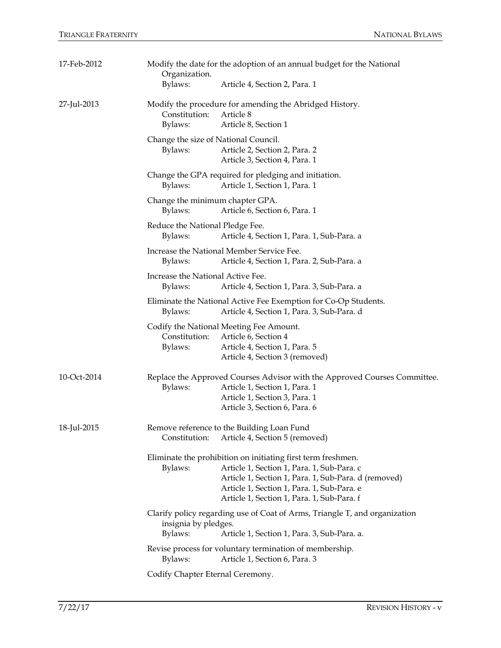| 17-Feb-2012 | Modify the date for the adoption of an annual budget for the National<br>Organization.                                                                                                                                                                                    |  |  |
|-------------|---------------------------------------------------------------------------------------------------------------------------------------------------------------------------------------------------------------------------------------------------------------------------|--|--|
|             | Bylaws:<br>Article 4, Section 2, Para. 1                                                                                                                                                                                                                                  |  |  |
| 27-Jul-2013 | Modify the procedure for amending the Abridged History.<br>Constitution:<br>Article 8<br>Bylaws:<br>Article 8, Section 1                                                                                                                                                  |  |  |
|             | Change the size of National Council.<br>Article 2, Section 2, Para. 2<br>Bylaws:<br>Article 3, Section 4, Para. 1                                                                                                                                                         |  |  |
|             | Change the GPA required for pledging and initiation.<br>Article 1, Section 1, Para. 1<br>Bylaws:                                                                                                                                                                          |  |  |
|             | Change the minimum chapter GPA.<br>Article 6, Section 6, Para. 1<br>Bylaws:                                                                                                                                                                                               |  |  |
|             | Reduce the National Pledge Fee.<br>Bylaws:<br>Article 4, Section 1, Para. 1, Sub-Para. a                                                                                                                                                                                  |  |  |
|             | Increase the National Member Service Fee.<br>Article 4, Section 1, Para. 2, Sub-Para. a<br>Bylaws:                                                                                                                                                                        |  |  |
|             | Increase the National Active Fee.<br>Bylaws:<br>Article 4, Section 1, Para. 3, Sub-Para. a                                                                                                                                                                                |  |  |
|             | Eliminate the National Active Fee Exemption for Co-Op Students.<br>Article 4, Section 1, Para. 3, Sub-Para. d<br>Bylaws:                                                                                                                                                  |  |  |
|             | Codify the National Meeting Fee Amount.<br>Constitution:<br>Article 6, Section 4<br>Article 4, Section 1, Para. 5<br>Bylaws:<br>Article 4, Section 3 (removed)                                                                                                            |  |  |
| 10-Oct-2014 | Replace the Approved Courses Advisor with the Approved Courses Committee.<br>Article 1, Section 1, Para. 1<br>Bylaws:<br>Article 1, Section 3, Para. 1<br>Article 3, Section 6, Para. 6                                                                                   |  |  |
| 18-Jul-2015 | Remove reference to the Building Loan Fund<br>Constitution:<br>Article 4, Section 5 (removed)                                                                                                                                                                             |  |  |
|             | Eliminate the prohibition on initiating first term freshmen.<br>Bylaws:<br>Article 1, Section 1, Para. 1, Sub-Para. c<br>Article 1, Section 1, Para. 1, Sub-Para. d (removed)<br>Article 1, Section 1, Para. 1, Sub-Para. e<br>Article 1, Section 1, Para. 1, Sub-Para. f |  |  |
|             | Clarify policy regarding use of Coat of Arms, Triangle T, and organization<br>insignia by pledges.                                                                                                                                                                        |  |  |
|             | Bylaws:<br>Article 1, Section 1, Para. 3, Sub-Para. a.<br>Revise process for voluntary termination of membership.                                                                                                                                                         |  |  |
|             | Bylaws:<br>Article 1, Section 6, Para. 3                                                                                                                                                                                                                                  |  |  |
|             | Codify Chapter Eternal Ceremony.                                                                                                                                                                                                                                          |  |  |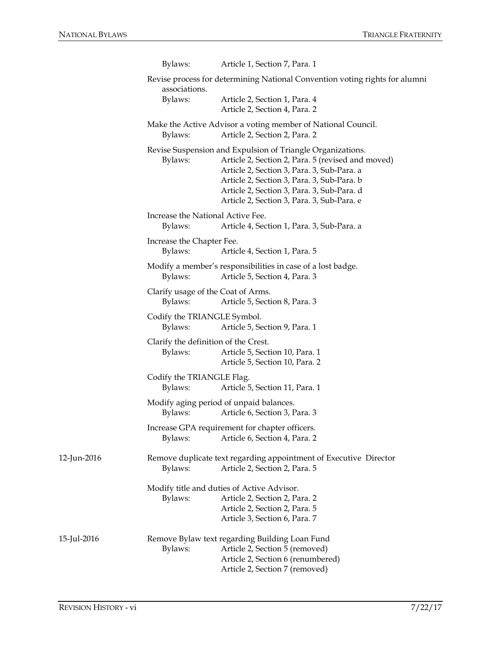|             | Bylaws:                                         | Article 1, Section 7, Para. 1                                                                                                                                                                                                                                                                           |
|-------------|-------------------------------------------------|---------------------------------------------------------------------------------------------------------------------------------------------------------------------------------------------------------------------------------------------------------------------------------------------------------|
|             | associations.                                   | Revise process for determining National Convention voting rights for alumni                                                                                                                                                                                                                             |
|             | Bylaws:                                         | Article 2, Section 1, Para. 4<br>Article 2, Section 4, Para. 2                                                                                                                                                                                                                                          |
|             | Bylaws:                                         | Make the Active Advisor a voting member of National Council.<br>Article 2, Section 2, Para. 2                                                                                                                                                                                                           |
|             | Bylaws:                                         | Revise Suspension and Expulsion of Triangle Organizations.<br>Article 2, Section 2, Para. 5 (revised and moved)<br>Article 2, Section 3, Para. 3, Sub-Para. a<br>Article 2, Section 3, Para. 3, Sub-Para. b<br>Article 2, Section 3, Para. 3, Sub-Para. d<br>Article 2, Section 3, Para. 3, Sub-Para. e |
|             | Increase the National Active Fee.<br>Bylaws:    | Article 4, Section 1, Para. 3, Sub-Para. a                                                                                                                                                                                                                                                              |
|             | Increase the Chapter Fee.<br>Bylaws:            | Article 4, Section 1, Para. 5                                                                                                                                                                                                                                                                           |
|             | Bylaws:                                         | Modify a member's responsibilities in case of a lost badge.<br>Article 5, Section 4, Para. 3                                                                                                                                                                                                            |
|             | Clarify usage of the Coat of Arms.<br>Bylaws:   | Article 5, Section 8, Para. 3                                                                                                                                                                                                                                                                           |
|             | Codify the TRIANGLE Symbol.<br>Bylaws:          | Article 5, Section 9, Para. 1                                                                                                                                                                                                                                                                           |
|             | Clarify the definition of the Crest.<br>Bylaws: | Article 5, Section 10, Para. 1<br>Article 5, Section 10, Para. 2                                                                                                                                                                                                                                        |
|             | Codify the TRIANGLE Flag.<br>Bylaws:            | Article 5, Section 11, Para. 1                                                                                                                                                                                                                                                                          |
|             | Bylaws:                                         | Modify aging period of unpaid balances.<br>Article 6, Section 3, Para. 3                                                                                                                                                                                                                                |
|             | Bylaws:                                         | Increase GPA requirement for chapter officers.<br>Article 6, Section 4, Para. 2                                                                                                                                                                                                                         |
| 12-Jun-2016 | Bylaws:                                         | Remove duplicate text regarding appointment of Executive Director<br>Article 2, Section 2, Para. 5                                                                                                                                                                                                      |
|             | Bylaws:                                         | Modify title and duties of Active Advisor.<br>Article 2, Section 2, Para. 2<br>Article 2, Section 2, Para. 5<br>Article 3, Section 6, Para. 7                                                                                                                                                           |
| 15-Jul-2016 | Bylaws:                                         | Remove Bylaw text regarding Building Loan Fund<br>Article 2, Section 5 (removed)<br>Article 2, Section 6 (renumbered)<br>Article 2, Section 7 (removed)                                                                                                                                                 |